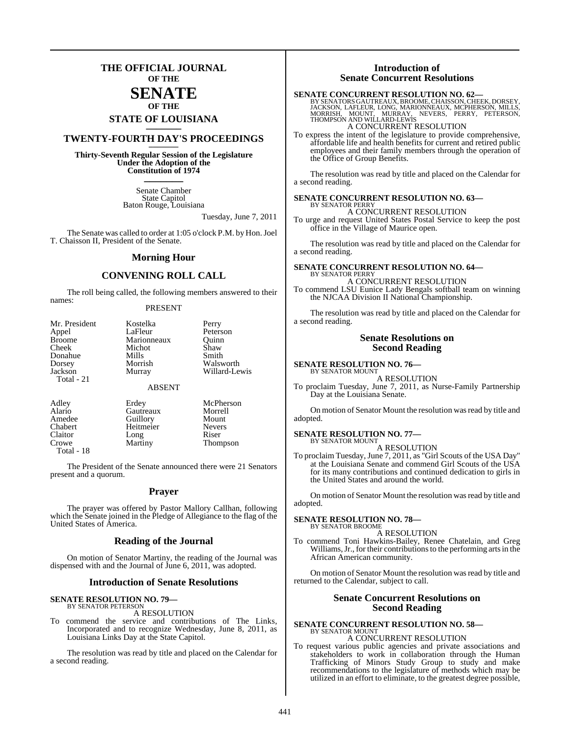## **THE OFFICIAL JOURNAL OF THE**

### **SENATE OF THE**

# **STATE OF LOUISIANA \_\_\_\_\_\_\_**

## **TWENTY-FOURTH DAY'S PROCEEDINGS \_\_\_\_\_\_\_**

**Thirty-Seventh Regular Session of the Legislature Under the Adoption of the Constitution of 1974 \_\_\_\_\_\_\_**

> Senate Chamber State Capitol Baton Rouge, Louisiana

> > Tuesday, June 7, 2011

The Senate was called to order at 1:05 o'clock P.M. by Hon. Joel T. Chaisson II, President of the Senate.

### **Morning Hour**

### **CONVENING ROLL CALL**

The roll being called, the following members answered to their names:

### PRESENT

| Mr. President | Kostelka    | Perry         |
|---------------|-------------|---------------|
| Appel         | LaFleur     | Peterson      |
| <b>Broome</b> | Marionneaux | Ouinn         |
| Cheek         | Michot      | Shaw          |
| Donahue       | Mills       | Smith         |
| Dorsey        | Morrish     | Walsworth     |
| Jackson       | Murray      | Willard-Lewis |
| Total - 21    |             |               |
|               | ABSENT      |               |

| Adley  | Erdev     | McPherson |
|--------|-----------|-----------|
| Alario | Gautreaux | Morrell   |
| Amedee | Guillory  | Mount     |

| Amouc      | <b>OULLIULY</b> | www           |
|------------|-----------------|---------------|
| Chabert    | Heitmeier       | <b>Nevers</b> |
| Claitor    | Long            | Riser         |
| Crowe      | Martiny         | Thompson      |
| Total - 18 |                 |               |

The President of the Senate announced there were 21 Senators present and a quorum.

### **Prayer**

The prayer was offered by Pastor Mallory Callhan, following which the Senate joined in the Pledge of Allegiance to the flag of the United States of America.

### **Reading of the Journal**

On motion of Senator Martiny, the reading of the Journal was dispensed with and the Journal of June 6, 2011, was adopted.

### **Introduction of Senate Resolutions**

### **SENATE RESOLUTION NO. 79—** BY SENATOR PETERSON

A RESOLUTION

To commend the service and contributions of The Links, Incorporated and to recognize Wednesday, June 8, 2011, as Louisiana Links Day at the State Capitol.

The resolution was read by title and placed on the Calendar for a second reading.

### **Introduction of Senate Concurrent Resolutions**

### **SENATE CONCURRENT RESOLUTION NO. 62—**

BY SENATORS GAUTREAUX, BROOME, CHAISSON, CHEEK, DORSEY,<br>JACKSON, LAFLEUR, LONG, MARIONNEAUX, MCPHERSON, MILLS,<br>MORRISH, MOUNT, MURRAY, NEVERS, PERRY, PETERSON,<br>THOMPSON AND WILLARD-LEWIS A CONCURRENT RESOLUTION

To express the intent of the legislature to provide comprehensive, affordable life and health benefits for current and retired public employees and their family members through the operation of the Office of Group Benefits.

The resolution was read by title and placed on the Calendar for a second reading.

### **SENATE CONCURRENT RESOLUTION NO. 63—** BY SENATOR PERRY

A CONCURRENT RESOLUTION

To urge and request United States Postal Service to keep the post office in the Village of Maurice open.

The resolution was read by title and placed on the Calendar for a second reading.

### **SENATE CONCURRENT RESOLUTION NO. 64—** BY SENATOR PERRY

A CONCURRENT RESOLUTION To commend LSU Eunice Lady Bengals softball team on winning the NJCAA Division II National Championship.

The resolution was read by title and placed on the Calendar for a second reading.

### **Senate Resolutions on Second Reading**

### **SENATE RESOLUTION NO. 76—** BY SENATOR MOUNT

A RESOLUTION

To proclaim Tuesday, June 7, 2011, as Nurse-Family Partnership Day at the Louisiana Senate.

On motion of Senator Mount the resolution was read by title and adopted.

### **SENATE RESOLUTION NO. 77—** BY SENATOR MOUNT

A RESOLUTION

To proclaim Tuesday, June 7, 2011, as "Girl Scouts of the USA Day" at the Louisiana Senate and commend Girl Scouts of the USA for its many contributions and continued dedication to girls in the United States and around the world.

On motion of Senator Mount the resolution was read by title and adopted.

### **SENATE RESOLUTION NO. 78—**

BY SENATOR BROOME A RESOLUTION

To commend Toni Hawkins-Bailey, Renee Chatelain, and Greg Williams, Jr., for their contributions to the performing arts in the African American community.

On motion of Senator Mount the resolution was read by title and returned to the Calendar, subject to call.

### **Senate Concurrent Resolutions on Second Reading**

## **SENATE CONCURRENT RESOLUTION NO. 58—** BY SENATOR MOUNT A CONCURRENT RESOLUTION

To request various public agencies and private associations and stakeholders to work in collaboration through the Human Trafficking of Minors Study Group to study and make recommendations to the legislature of methods which may be utilized in an effort to eliminate, to the greatest degree possible,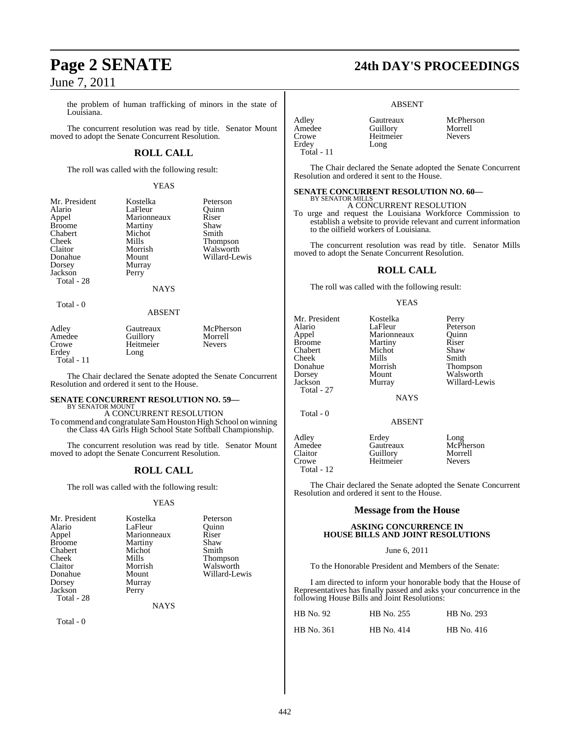the problem of human trafficking of minors in the state of Louisiana.

The concurrent resolution was read by title. Senator Mount moved to adopt the Senate Concurrent Resolution.

## **ROLL CALL**

The roll was called with the following result:

### YEAS

| Mr. President |
|---------------|
| Alario        |
| Appel         |
| <b>Broome</b> |
| Chabert       |
| Cheek         |
| Claitor       |
| Donahue       |
| Dorsey        |
| Jackson       |
| Total - 28    |
|               |

Kostelka Peterson<br>LaFleur Ouinn LaFleur Quinn<br>Marionneaux Riser Marionneaux Riser<br>
Martiny Shaw Martiny Shaw<br>Michot Smith Michot<br>Mills Mills Thompson<br>Morrish Walsworth Morrish Walsworth<br>
Mount Willard-Le Murray Perry

**NAYS** 

Willard-Lewis

### Total - 0

### ABSENT

| Adley      | Gautreaux | McPherson     |
|------------|-----------|---------------|
| Amedee     | Guillory  | Morrell       |
| Crowe      | Heitmeier | <b>Nevers</b> |
| Erdev      | Long      |               |
| Total - 11 |           |               |

The Chair declared the Senate adopted the Senate Concurrent Resolution and ordered it sent to the House.

### **SENATE CONCURRENT RESOLUTION NO. 59—** BY SENATOR MOUNT

A CONCURRENT RESOLUTION To commend and congratulate SamHouston High School on winning the Class 4A Girls High School State Softball Championship.

The concurrent resolution was read by title. Senator Mount moved to adopt the Senate Concurrent Resolution.

## **ROLL CALL**

The roll was called with the following result:

### YEAS

| Mr. President | Kostelka    | Peterson      |
|---------------|-------------|---------------|
| Alario        | LaFleur     | Ouinn         |
| Appel         | Marionneaux | Riser         |
| <b>Broome</b> | Martiny     | Shaw          |
| Chabert       | Michot      | Smith         |
| Cheek         | Mills       | Thompson      |
| Claitor       | Morrish     | Walsworth     |
| Donahue       | Mount       | Willard-Lewis |
| Dorsey        | Murray      |               |
| Jackson       | Perry       |               |
| Total - 28    |             |               |

**NAYS** 

Total - 0

# **Page 2 SENATE 24th DAY'S PROCEEDINGS**

### ABSENT

| Adley      |  |
|------------|--|
| Amedee     |  |
| Crowe      |  |
| Erdey      |  |
| Total - 11 |  |

Total - 12

Gautreaux McPherson<br>
Guillory Morrell Amedee Guillory Morrell

The Chair declared the Senate adopted the Senate Concurrent Resolution and ordered it sent to the House.

### **SENATE CONCURRENT RESOLUTION NO. 60—** BY SENATOR MILLS

Heitmeier Long

A CONCURRENT RESOLUTION

To urge and request the Louisiana Workforce Commission to establish a website to provide relevant and current information to the oilfield workers of Louisiana.

The concurrent resolution was read by title. Senator Mills moved to adopt the Senate Concurrent Resolution.

### **ROLL CALL**

The roll was called with the following result:

### YEAS

| Mr. President | Kostelka      | Perry         |
|---------------|---------------|---------------|
| Alario        | LaFleur       | Peterson      |
| Appel         | Marionneaux   | Ouinn         |
| Broome        | Martiny       | Riser         |
| Chabert       | Michot        | Shaw          |
| Cheek         | Mills         | Smith         |
| Donahue       | Morrish       | Thompson      |
| Dorsey        | Mount         | Walsworth     |
| Jackson       | Murray        | Willard-Lewis |
| Total - 27    |               |               |
|               | <b>NAYS</b>   |               |
| Total $-0$    |               |               |
|               | <b>ABSENT</b> |               |
| Adley         | Erdey         | Long          |
| Amedee        | Gautreaux     | McPherson     |
| Claitor       | Guillory      | Morrell       |
| Crowe         | Heitmeier     | <b>Nevers</b> |

The Chair declared the Senate adopted the Senate Concurrent Resolution and ordered it sent to the House.

### **Message from the House**

### **ASKING CONCURRENCE IN HOUSE BILLS AND JOINT RESOLUTIONS**

### June 6, 2011

To the Honorable President and Members of the Senate:

I am directed to inform your honorable body that the House of Representatives has finally passed and asks your concurrence in the following House Bills and Joint Resolutions:

| HB No. 92         | HB No. 255 | HB No. 293 |
|-------------------|------------|------------|
| <b>HB</b> No. 361 | HB No. 414 | HB No. 416 |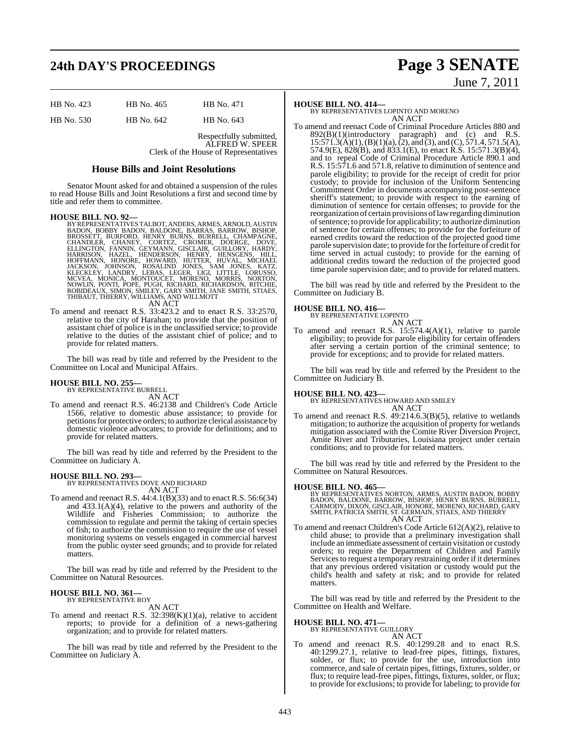# **24th DAY'S PROCEEDINGS Page 3 SENATE**

| HB No. 423 | HB No. 465 | HB No. 471 |
|------------|------------|------------|
| HB No. 530 | HB No. 642 | HB No. 643 |

Respectfully submitted, ALFRED W. SPEER Clerk of the House of Representatives

### **House Bills and Joint Resolutions**

Senator Mount asked for and obtained a suspension of the rules to read House Bills and Joint Resolutions a first and second time by title and refer them to committee.

### **HOUSE BILL NO. 92—**

- BY REPRESENTATIVES TALBOT, ANDERS, ARMES, ARNOLD, AUSTIN<br>BROOSN, BOBBY BADON, BALDONE, BARRAS, BARROW, BISHOP, BURFORD, HENRY BURNS, BURRELL, CHAMPAGNE,<br>CHANDLER, CHANEY, CORTEZ, CROMER, DOERGE, DOVE,<br>ELLINGTON, FANNIN, GE
- To amend and reenact R.S. 33:423.2 and to enact R.S. 33:2570, relative to the city of Harahan; to provide that the position of assistant chief of police is in the unclassified service; to provide relative to the duties of the assistant chief of police; and to provide for related matters.

The bill was read by title and referred by the President to the Committee on Local and Municipal Affairs.

## **HOUSE BILL NO. 255—**

BY REPRESENTATIVE BURRELL AN ACT

To amend and reenact R.S. 46:2138 and Children's Code Article 1566, relative to domestic abuse assistance; to provide for petitions for protective orders; to authorize clerical assistance by domestic violence advocates; to provide for definitions; and to provide for related matters.

The bill was read by title and referred by the President to the Committee on Judiciary A.

**HOUSE BILL NO. 293—** BY REPRESENTATIVES DOVE AND RICHARD AN ACT

To amend and reenact R.S. 44:4.1(B)(33) and to enact R.S. 56:6(34) and 433.1(A)(4), relative to the powers and authority of the Wildlife and Fisheries Commission; to authorize the commission to regulate and permit the taking of certain species of fish; to authorize the commission to require the use of vessel monitoring systems on vessels engaged in commercial harvest from the public oyster seed grounds; and to provide for related matters.

The bill was read by title and referred by the President to the Committee on Natural Resources.

### **HOUSE BILL NO. 361—** BY REPRESENTATIVE ROY

AN ACT

To amend and reenact R.S.  $32:398(K)(1)(a)$ , relative to accident reports; to provide for a definition of a news-gathering organization; and to provide for related matters.

The bill was read by title and referred by the President to the Committee on Judiciary A.

### **HOUSE BILL NO. 414—**

BY REPRESENTATIVES LOPINTO AND MORENO AN ACT

To amend and reenact Code of Criminal Procedure Articles 880 and  $892(B)(1)(introducing paragram)$  and (c) and R.S.  $15:571.3(A)(1), (B)(1)(a), (2),$  and  $(3),$  and  $(C), 571.4, 571.5(A),$ 574.9(E), 828(B), and 833.1(E), to enact R.S. 15:571.3(B)(4), and to repeal Code of Criminal Procedure Article 890.1 and R.S. 15:571.6 and 571.8, relative to diminution of sentence and parole eligibility; to provide for the receipt of credit for prior custody; to provide for inclusion of the Uniform Sentencing Commitment Order in documents accompanying post-sentence sheriff's statement; to provide with respect to the earning of diminution of sentence for certain offenses; to provide for the reorganization of certain provisions oflawregarding diminution ofsentence; to provide for applicability; to authorize diminution of sentence for certain offenses; to provide for the forfeiture of earned credits toward the reduction of the projected good time parole supervision date; to provide forthe forfeiture of credit for time served in actual custody; to provide for the earning of additional credits toward the reduction of the projected good time parole supervision date; and to provide for related matters.

The bill was read by title and referred by the President to the Committee on Judiciary B.

### **HOUSE BILL NO. 416—**

BY REPRESENTATIVE LOPINTO AN ACT

To amend and reenact R.S. 15:574.4(A)(1), relative to parole eligibility; to provide for parole eligibility for certain offenders after serving a certain portion of the criminal sentence; to provide for exceptions; and to provide for related matters.

The bill was read by title and referred by the President to the Committee on Judiciary B.

**HOUSE BILL NO. 423—** BY REPRESENTATIVES HOWARD AND SMILEY

AN ACT To amend and reenact R.S. 49:214.6.3(B)(5), relative to wetlands mitigation; to authorize the acquisition of property for wetlands mitigation associated with the Comite River Diversion Project, Amite River and Tributaries, Louisiana project under certain conditions; and to provide for related matters.

The bill was read by title and referred by the President to the Committee on Natural Resources.

### **HOUSE BILL NO. 465—**

BY REPRESENTATIVES NORTON, ARMES, AUSTIN BADON, BOBBY<br>BADON, BALDONE, BARROW, BISHOP, HENRY BURNS, BURRELL,<br>CARMODY, DIXON, GISCLAIR, HONORE, MORENO, RICHARD, GARY<br>SMITH, PATRICIA SMITH, ST. GERMAIN, STIAES, AND THIERRY AN ACT

To amend and reenact Children's Code Article 612(A)(2), relative to child abuse; to provide that a preliminary investigation shall include an immediate assessment of certain visitation or custody orders; to require the Department of Children and Family Services to request a temporary restraining order if it determines that any previous ordered visitation or custody would put the child's health and safety at risk; and to provide for related matters.

The bill was read by title and referred by the President to the Committee on Health and Welfare.

## **HOUSE BILL NO. 471—** BY REPRESENTATIVE GUILLORY

AN ACT

To amend and reenact R.S. 40:1299.28 and to enact R.S. 40:1299.27.1, relative to lead-free pipes, fittings, fixtures, solder, or flux; to provide for the use, introduction into commerce, and sale of certain pipes, fittings, fixtures, solder, or flux; to require lead-free pipes, fittings, fixtures, solder, or flux; to provide for exclusions; to provide for labeling; to provide for

# June 7, 2011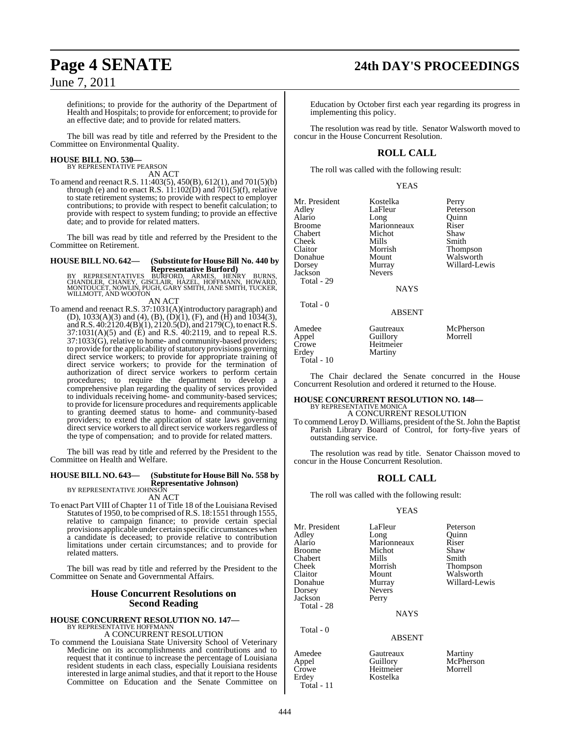definitions; to provide for the authority of the Department of Health and Hospitals; to provide for enforcement; to provide for an effective date; and to provide for related matters.

The bill was read by title and referred by the President to the Committee on Environmental Quality.

### **HOUSE BILL NO. 530—** BY REPRESENTATIVE PEARSON

AN ACT

To amend and reenact R.S. 11:403(5), 450(B), 612(1), and 701(5)(b) through (e) and to enact R.S. 11:102(D) and 701(5)(f), relative to state retirement systems; to provide with respect to employer contributions; to provide with respect to benefit calculation; to provide with respect to system funding; to provide an effective date; and to provide for related matters.

The bill was read by title and referred by the President to the Committee on Retirement.

### **HOUSE BILL NO. 642— (Substitute for HouseBill No. 440 by Representative Burford)**

BY REPRESENTATIVES BURFORD, ARMES, HENRY BURNS,<br>CHANDLER, CHANEY, GISCLAIR, HAZEL, HOFFMANN, HOWARD,<br>MONTOUCET,NOWLIN,PUGH,GARY SMITH,JANE SMITH,TUCKER, WILLMOTT, AND WOOTON AN ACT

To amend and reenact R.S. 37:1031(A)(introductory paragraph) and (D),  $1033(A)(3)$  and  $(4)$ ,  $(B)$ ,  $(D)(1)$ ,  $(F)$ , and  $(H)$  and  $1034(3)$ , andR.S. 40:2120.4(B)(1), 2120.5(D), and 2179(C), to enact R.S. 37:1031(A)(5) and (E) and R.S. 40:2119, and to repeal R.S.  $37:1033(\widetilde{G})$ , relative to home- and community-based providers; to provide for the applicability of statutory provisions governing direct service workers; to provide for appropriate training of direct service workers; to provide for the termination of authorization of direct service workers to perform certain procedures; to require the department to develop a comprehensive plan regarding the quality of services provided to individuals receiving home- and community-based services; to provide for licensure procedures and requirements applicable to granting deemed status to home- and community-based providers; to extend the application of state laws governing direct service workers to all direct service workers regardless of the type of compensation; and to provide for related matters.

The bill was read by title and referred by the President to the Committee on Health and Welfare.

## **HOUSE BILL NO. 643— (Substitute for HouseBill No. 558 by Representative Johnson)** BY REPRESENTATIVE JOHNSON

AN ACT

To enact Part VIII of Chapter 11 of Title 18 of the Louisiana Revised Statutes of 1950, to be comprised ofR.S. 18:1551 through 1555, relative to campaign finance; to provide certain special provisions applicable under certain specific circumstances when a candidate is deceased; to provide relative to contribution limitations under certain circumstances; and to provide for related matters.

The bill was read by title and referred by the President to the Committee on Senate and Governmental Affairs.

### **House Concurrent Resolutions on Second Reading**

# **HOUSE CONCURRENT RESOLUTION NO. 147—** BY REPRESENTATIVE HOFFMANN A CONCURRENT RESOLUTION

To commend the Louisiana State University School of Veterinary Medicine on its accomplishments and contributions and to request that it continue to increase the percentage of Louisiana resident students in each class, especially Louisiana residents interested in large animal studies, and that it report to the House Committee on Education and the Senate Committee on

## **Page 4 SENATE 24th DAY'S PROCEEDINGS**

Education by October first each year regarding its progress in implementing this policy.

The resolution was read by title. Senator Walsworth moved to concur in the House Concurrent Resolution.

## **ROLL CALL**

The roll was called with the following result:

### YEAS

Mr. President Kostelka Perry<br>Adlev LaFleur Peters Peterson<br>Quinn Alario Long Quinr<br>Broome Marionneaux Riser Marionneaux Riser<br>Michot Shaw Chabert Michot Shaw<br>Cheek Mills Smith Cheek Mills Smith Claitor Morrish Thompson Donahue Mount Walsworth<br>
Dorsey Murray Willard-Le Murray Willard-Lewis<br>Nevers **Jackson**  Total - 29 **NAYS**  Total - 0 ABSENT Amedee Gautreaux McPherson<br>
Appel Guillory Morrell Guillory Crowe Heitmeier<br>Erdey Martiny Martiny Total - 10

The Chair declared the Senate concurred in the House Concurrent Resolution and ordered it returned to the House.

## **HOUSE CONCURRENT RESOLUTION NO. 148—**

BY REPRESENTATIVE MONICA A CONCURRENT RESOLUTION

To commend Leroy D. Williams, president of the St. John the Baptist Parish Library Board of Control, for forty-five years of outstanding service.

The resolution was read by title. Senator Chaisson moved to concur in the House Concurrent Resolution.

### **ROLL CALL**

The roll was called with the following result:

### YEAS

| Mr. President<br>Adley<br>Alario<br>Broome<br>Chabert | LaFleur<br>Long<br>Marionneaux<br>Michot<br>Mills | Peterson<br>Ouinn<br>Riser<br>Shaw<br>Smith |
|-------------------------------------------------------|---------------------------------------------------|---------------------------------------------|
| Cheek                                                 | Morrish                                           | <b>Thompson</b>                             |
| Claitor<br>Donahue                                    | Mount<br>Murray                                   | Walsworth<br>Willard-Lewis                  |
| Dorsey<br>Jackson                                     | <b>Nevers</b><br>Perry                            |                                             |
| Total - 28                                            | <b>NAYS</b>                                       |                                             |
| Total - 0                                             | ABSENT                                            |                                             |

Kostelka

Amedee Gautreaux Martiny<br>Appel Guillory McPher: Appel Guillory McPherson Crowe Heitmeier<br>Erdev Kostelka Total - 11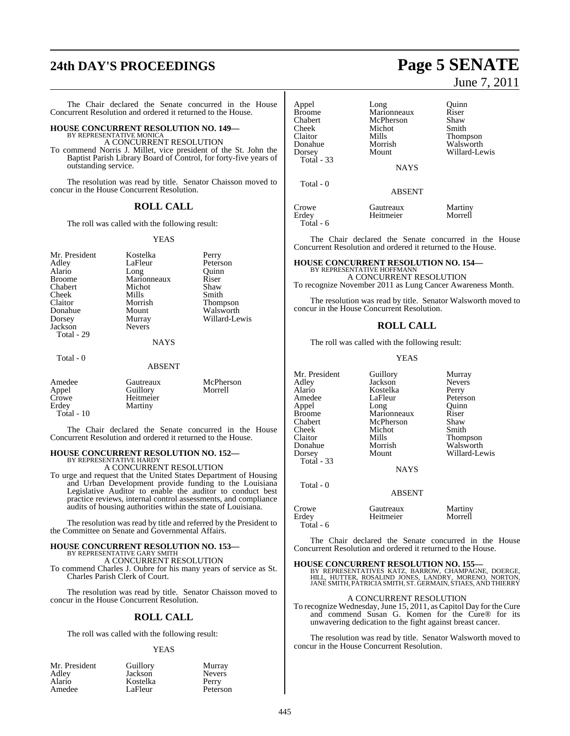# **24th DAY'S PROCEEDINGS Page 5 SENATE**

The Chair declared the Senate concurred in the House Concurrent Resolution and ordered it returned to the House.

## **HOUSE CONCURRENT RESOLUTION NO. 149—** BY REPRESENTATIVE MONICA

A CONCURRENT RESOLUTION

To commend Norris J. Millet, vice president of the St. John the Baptist Parish Library Board of Control, for forty-five years of outstanding service.

The resolution was read by title. Senator Chaisson moved to concur in the House Concurrent Resolution.

### **ROLL CALL**

The roll was called with the following result:

### YEAS

| Mr. President<br>Adley<br>Alario<br><b>Broome</b><br>Chabert<br>Cheek<br>Claitor<br>Donahue<br>Dorsey<br>Jackson<br>Total - 29 | Kostelka<br>LaFleur<br>Long<br>Marionneaux<br>Michot<br>Mills<br>Morrish<br>Mount<br>Murray<br><b>Nevers</b><br><b>NAYS</b> | Perry<br>Peterson<br>Ouinn<br>Riser<br>Shaw<br>Smith<br>Thompson<br>Walsworth<br>Willard-Lewis |
|--------------------------------------------------------------------------------------------------------------------------------|-----------------------------------------------------------------------------------------------------------------------------|------------------------------------------------------------------------------------------------|
| Total - 0                                                                                                                      | <b>ABSENT</b>                                                                                                               |                                                                                                |
| Amedee<br>Appel<br>Crowe                                                                                                       | Gautreaux<br>Guillory<br>Heitmeier                                                                                          | McPherson<br>Morrell                                                                           |

The Chair declared the Senate concurred in the House Concurrent Resolution and ordered it returned to the House.

### **HOUSE CONCURRENT RESOLUTION NO. 152—** BY REPRESENTATIVE HARDY

Erdey Martiny

Total - 10

A CONCURRENT RESOLUTION

To urge and request that the United States Department of Housing and Urban Development provide funding to the Louisiana Legislative Auditor to enable the auditor to conduct best practice reviews, internal control assessments, and compliance audits of housing authorities within the state of Louisiana.

The resolution was read by title and referred by the President to the Committee on Senate and Governmental Affairs.

## **HOUSE CONCURRENT RESOLUTION NO. 153—** BY REPRESENTATIVE GARY SMITH A CONCURRENT RESOLUTION

To commend Charles J. Oubre for his many years of service as St. Charles Parish Clerk of Court.

The resolution was read by title. Senator Chaisson moved to concur in the House Concurrent Resolution.

### **ROLL CALL**

The roll was called with the following result:

### YEAS

| Mr. President | Guillory | Murray        |
|---------------|----------|---------------|
| Adley         | Jackson  | <b>Nevers</b> |
| Alario        | Kostelka | Perry         |
| Amedee        | LaFleur  | Peterson      |

# June 7, 2011

| Appel<br><b>Broome</b><br>Chabert<br>Cheek<br>Claitor<br>Donahue<br>Dorsey<br>Total $-33$ | Long<br>Marionneaux<br>McPherson<br>Michot<br>Mills<br>Morrish<br>Mount | Ouinn<br>Riser<br>Shaw<br>Smith<br><b>Thompson</b><br>Walsworth<br>Willard-Lewis |
|-------------------------------------------------------------------------------------------|-------------------------------------------------------------------------|----------------------------------------------------------------------------------|
|                                                                                           | <b>NAYS</b>                                                             |                                                                                  |
| Total - 0                                                                                 | <b>ABSENT</b>                                                           |                                                                                  |
| Crowe<br>Erdev                                                                            | Gautreaux<br>Heitmeier                                                  | Martiny<br>Morrell                                                               |

The Chair declared the Senate concurred in the House Concurrent Resolution and ordered it returned to the House.

### **HOUSE CONCURRENT RESOLUTION NO. 154—** BY REPRESENTATIVE HOFFMANI

A CONCURRENT RESOLUTION

To recognize November 2011 as Lung Cancer Awareness Month.

The resolution was read by title. Senator Walsworth moved to concur in the House Concurrent Resolution.

### **ROLL CALL**

The roll was called with the following result:

### YEAS

| Mr. President | Guillory    | Murray          |
|---------------|-------------|-----------------|
| Adley         | Jackson     | <b>Nevers</b>   |
| Alario        | Kostelka    | Perry           |
| Amedee        | LaFleur     | Peterson        |
| Appel         | Long        | Ouinn           |
| Broome        | Marionneaux | Riser           |
| Chabert       | McPherson   | Shaw            |
| Cheek         | Michot      | Smith           |
| Claitor       | Mills       | <b>Thompson</b> |
| Donahue       | Morrish     | Walsworth       |
| Dorsey        | Mount       | Willard-Lewis   |
| Total - 33    |             |                 |
|               | <b>NAYS</b> |                 |
|               |             |                 |

Total - 0

Total - 6

Crowe Gautreaux Martiny<br>
Erdey Heitmeier Morrell Heitmeier Total - 6

The Chair declared the Senate concurred in the House Concurrent Resolution and ordered it returned to the House.

ABSENT

**HOUSE CONCURRENT RESOLUTION NO. 155—** BY REPRESENTATIVES KATZ, BARROW, CHAMPAGNE, DOERGE,<br>HILL, HUTTER, ROSALIND JONES, LANDRY, MORENO, NORTON,<br>JANE SMITH, PATRICIA SMITH, ST. GERMAIN, STIAES, AND THIERRY

### A CONCURRENT RESOLUTION

To recognize Wednesday,June 15, 2011, as Capitol Day for the Cure and commend Susan G. Komen for the Cure® for its unwavering dedication to the fight against breast cancer.

The resolution was read by title. Senator Walsworth moved to concur in the House Concurrent Resolution.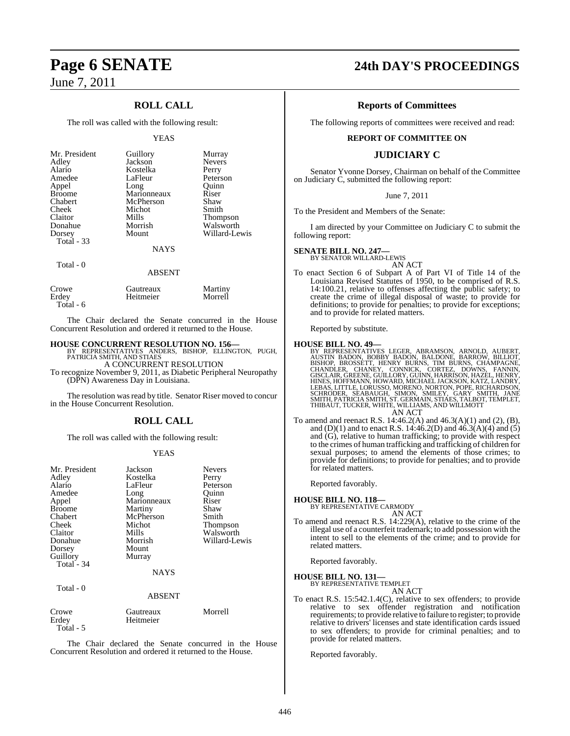## **ROLL CALL**

The roll was called with the following result:

### YEAS

| Mr. President     | Guillory      | Murray          |
|-------------------|---------------|-----------------|
| Adley             | Jackson       | <b>Nevers</b>   |
| Alario            | Kostelka      | Perry           |
| Amedee            | LaFleur       | Peterson        |
| Appel             | Long          | Ouinn           |
| <b>Broome</b>     | Marionneaux   | Riser           |
| Chabert           | McPherson     | Shaw            |
| Cheek             | Michot        | Smith           |
| Claitor           | Mills         | <b>Thompson</b> |
| Donahue           | Morrish       | Walsworth       |
| Dorsey            | Mount         | Willard-Lewis   |
| <b>Total - 33</b> |               |                 |
|                   | <b>NAYS</b>   |                 |
| Total - 0         |               |                 |
|                   | <b>ABSENT</b> |                 |

| Crowe     | Gautreaux | Martiny |
|-----------|-----------|---------|
| Erdey     | Heitmeier | Morrell |
| Total - 6 |           |         |

The Chair declared the Senate concurred in the House Concurrent Resolution and ordered it returned to the House.

**HOUSE CONCURRENT RESOLUTION NO. 156—** BY REPRESENTATIVES ANDERS, BISHOP, ELLINGTON, PUGH, PATRICIA SMITH, AND STIAES A CONCURRENT RESOLUTION

To recognize November 9, 2011, as Diabetic Peripheral Neuropathy (DPN) Awareness Day in Louisiana.

The resolution was read by title. Senator Riser moved to concur in the House Concurrent Resolution.

## **ROLL CALL**

The roll was called with the following result:

### YEAS

| Mr. President<br>Adley<br>Alario<br>Amedee<br>Appel<br><b>Broome</b><br>Chabert<br>Cheek<br>Claitor<br>Donahue<br>Dorsey<br>Guillory<br>Total - 34 | Jackson<br>Kostelka<br>LaFleur<br>Long<br>Marionneaux<br>Martiny<br>McPherson<br>Michot<br>Mills<br>Morrish<br>Mount<br>Murray<br><b>NAYS</b> | <b>Nevers</b><br>Perry<br>Peterson<br>Quinn<br>Riser<br>Shaw<br>Smith<br>Thompson<br>Walsworth<br>Willard-Lewis |
|----------------------------------------------------------------------------------------------------------------------------------------------------|-----------------------------------------------------------------------------------------------------------------------------------------------|-----------------------------------------------------------------------------------------------------------------|
| Total - 0                                                                                                                                          | <b>ABSENT</b>                                                                                                                                 |                                                                                                                 |
| Crowe<br>Erdey                                                                                                                                     | Gautreaux<br>Heitmeier                                                                                                                        | Morrell                                                                                                         |

Total - 5

The Chair declared the Senate concurred in the House Concurrent Resolution and ordered it returned to the House.

## **Page 6 SENATE 24th DAY'S PROCEEDINGS**

### **Reports of Committees**

The following reports of committees were received and read:

### **REPORT OF COMMITTEE ON**

### **JUDICIARY C**

Senator Yvonne Dorsey, Chairman on behalf of the Committee on Judiciary C, submitted the following report:

### June 7, 2011

To the President and Members of the Senate:

I am directed by your Committee on Judiciary C to submit the following report:

## **SENATE BILL NO. 247—** BY SENATOR WILLARD-LEWIS

AN ACT

To enact Section 6 of Subpart A of Part VI of Title 14 of the Louisiana Revised Statutes of 1950, to be comprised of R.S. 14:100.21, relative to offenses affecting the public safety; to create the crime of illegal disposal of waste; to provide for definitions; to provide for penalties; to provide for exceptions; and to provide for related matters.

Reported by substitute.

**HOUSE BILL NO. 49—**<br>
BY REPRESENTATIVES LEGER, ABRAMSON, ARNOLD, AUBERT,<br>
AUSTIN BADON, BOBBY BADON, BALDONE, BARROW, BILLIOT,<br>
BISHOP, BROSSETT, HENRY BURNS, TIM BURNS, CHAMPAGNE,<br>
CHANDLER, CHANEY, CONNICK, CORTEZ, DOWN

### AN ACT

To amend and reenact R.S. 14:46.2(A) and 46.3(A)(1) and (2), (B), and (D)(1) and to enact R.S. 14:46.2(D) and 46.3(A)(4) and (5) and (G), relative to human trafficking; to provide with respect to the crimes of human trafficking and trafficking of children for sexual purposes; to amend the elements of those crimes; to provide for definitions; to provide for penalties; and to provide for related matters.

Reported favorably.

# **HOUSE BILL NO. 118—** BY REPRESENTATIVE CARMODY

AN ACT

To amend and reenact R.S. 14:229(A), relative to the crime of the illegal use of a counterfeit trademark; to add possession with the intent to sell to the elements of the crime; and to provide for related matters.

Reported favorably.

**HOUSE BILL NO. 131—** BY REPRESENTATIVE TEMPLET AN ACT

To enact R.S. 15:542.1.4(C), relative to sex offenders; to provide relative to sex offender registration and notification requirements; to provide relative to failure to register; to provide relative to drivers' licenses and state identification cards issued to sex offenders; to provide for criminal penalties; and to provide for related matters.

Reported favorably.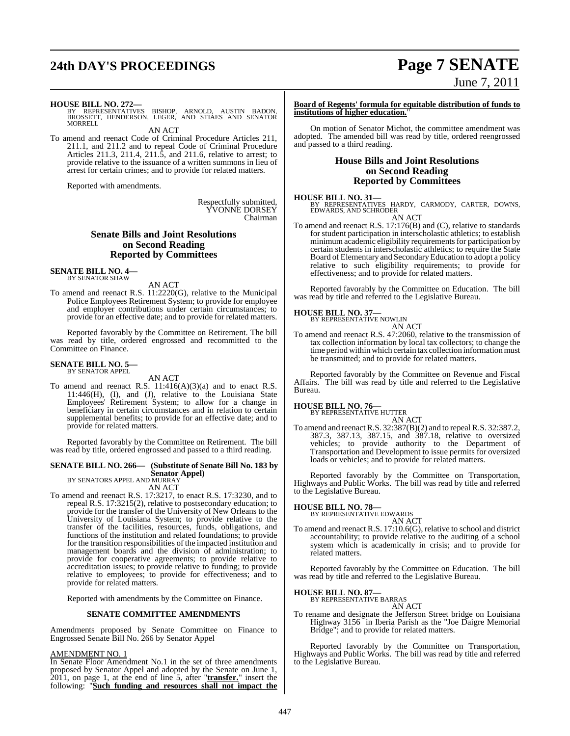# **24th DAY'S PROCEEDINGS Page 7 SENATE**

# June 7, 2011

**HOUSE BILL NO. 272—**<br>BY REPRESENTATIVES BISHOP, ARNOLD, AUSTIN BADON,<br>BROSSETT, HENDERSON, LEGER, AND STIAES AND SENATOR<br>MORRELL

AN ACT

To amend and reenact Code of Criminal Procedure Articles 211, 211.1, and 211.2 and to repeal Code of Criminal Procedure Articles 211.3, 211.4, 211.5, and 211.6, relative to arrest; to provide relative to the issuance of a written summons in lieu of arrest for certain crimes; and to provide for related matters.

Reported with amendments.

Respectfully submitted, YVONNE DORSEY Chairman

### **Senate Bills and Joint Resolutions on Second Reading Reported by Committees**

**SENATE BILL NO. 4—** BY SENATOR SHAW

AN ACT

To amend and reenact R.S. 11:2220(G), relative to the Municipal Police Employees Retirement System; to provide for employee and employer contributions under certain circumstances; to provide for an effective date; and to provide for related matters.

Reported favorably by the Committee on Retirement. The bill was read by title, ordered engrossed and recommitted to the Committee on Finance.

# **SENATE BILL NO. 5—** BY SENATOR APPEL

AN ACT

To amend and reenact R.S. 11:416(A)(3)(a) and to enact R.S. 11:446(H), (I), and (J), relative to the Louisiana State Employees' Retirement System; to allow for a change in beneficiary in certain circumstances and in relation to certain supplemental benefits; to provide for an effective date; and to provide for related matters.

Reported favorably by the Committee on Retirement. The bill was read by title, ordered engrossed and passed to a third reading.

## **SENATE BILL NO. 266— (Substitute of Senate Bill No. 183 by**

**Senator Appel)** BY SENATORS APPEL AND MURRAY

AN ACT

To amend and reenact R.S. 17:3217, to enact R.S. 17:3230, and to repeal R.S. 17:3215(2), relative to postsecondary education; to provide for the transfer of the University of New Orleans to the University of Louisiana System; to provide relative to the transfer of the facilities, resources, funds, obligations, and functions of the institution and related foundations; to provide for the transition responsibilities of the impacted institution and management boards and the division of administration; to provide for cooperative agreements; to provide relative to accreditation issues; to provide relative to funding; to provide relative to employees; to provide for effectiveness; and to provide for related matters.

Reported with amendments by the Committee on Finance.

### **SENATE COMMITTEE AMENDMENTS**

Amendments proposed by Senate Committee on Finance to Engrossed Senate Bill No. 266 by Senator Appel

### AMENDMENT NO. 1

In Senate Floor Amendment No.1 in the set of three amendments proposed by Senator Appel and adopted by the Senate on June 1, 2011, on page 1, at the end of line 5, after "**transfer.**" insert the following: "**Such funding and resources shall not impact the**

**Board of Regents' formula for equitable distribution of funds to institutions of higher education.**"

On motion of Senator Michot, the committee amendment was adopted. The amended bill was read by title, ordered reengrossed and passed to a third reading.

### **House Bills and Joint Resolutions on Second Reading Reported by Committees**

**HOUSE BILL NO. 31—** BY REPRESENTATIVES HARDY, CARMODY, CARTER, DOWNS, EDWARDS, AND SCHRODER

AN ACT

To amend and reenact R.S. 17:176(B) and (C), relative to standards for student participation in interscholastic athletics; to establish minimum academic eligibility requirements for participation by certain students in interscholastic athletics; to require the State Board of Elementary and Secondary Education to adopt a policy relative to such eligibility requirements; to provide for effectiveness; and to provide for related matters.

Reported favorably by the Committee on Education. The bill was read by title and referred to the Legislative Bureau.

# **HOUSE BILL NO. 37—** BY REPRESENTATIVE NOWLIN

AN ACT

To amend and reenact R.S. 47:2060, relative to the transmission of tax collection information by local tax collectors; to change the time period within which certain tax collection information must be transmitted; and to provide for related matters.

Reported favorably by the Committee on Revenue and Fiscal Affairs. The bill was read by title and referred to the Legislative Bureau.

## **HOUSE BILL NO. 76—** BY REPRESENTATIVE HUTTER

AN ACT To amend and reenactR.S. 32:387(B)(2) and to repeal R.S. 32:387.2, 387.3, 387.13, 387.15, and 387.18, relative to oversized vehicles; to provide authority to the Department of Transportation and Development to issue permits for oversized loads or vehicles; and to provide for related matters.

Reported favorably by the Committee on Transportation, Highways and Public Works. The bill was read by title and referred to the Legislative Bureau.

### **HOUSE BILL NO. 78—**

BY REPRESENTATIVE EDWARDS

AN ACT To amend and reenact R.S. 17:10.6(G), relative to school and district accountability; to provide relative to the auditing of a school system which is academically in crisis; and to provide for related matters.

Reported favorably by the Committee on Education. The bill was read by title and referred to the Legislative Bureau.

## **HOUSE BILL NO. 87—** BY REPRESENTATIVE BARRAS

AN ACT

To rename and designate the Jefferson Street bridge on Louisiana Highway 3156 in Iberia Parish as the "Joe Daigre Memorial Bridge"; and to provide for related matters.

Reported favorably by the Committee on Transportation, Highways and Public Works. The bill was read by title and referred to the Legislative Bureau.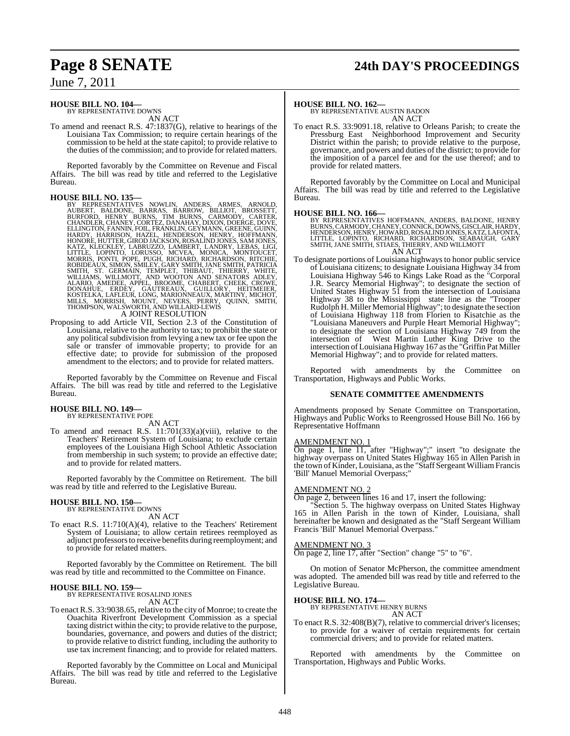## **Page 8 SENATE 24th DAY'S PROCEEDINGS**

## June 7, 2011

### **HOUSE BILL NO. 104—** BY REPRESENTATIVE DOWNS

AN ACT

To amend and reenact R.S. 47:1837(G), relative to hearings of the Louisiana Tax Commission; to require certain hearings of the commission to be held at the state capitol; to provide relative to the duties of the commission; and to provide for related matters.

Reported favorably by the Committee on Revenue and Fiscal Affairs. The bill was read by title and referred to the Legislative Bureau.

### **HOUSE BILL NO. 135—**

- BY REPRESENTATIVES NOWLIN, ANDERS, ARMES, ARNOLD,<br>AUBERT, BALDONE, BARRAS, BARROW, BILIOT, BROSSETT,<br>BURFORD, HENNY BURNS, TIM BURNS, CARMODY, CARTER,<br>CHANDLER, CHANEY, CORTEZ, DANAHAY, DIXON, DOERGE, DOVE.<br>ELLINGTON, FANN
- Proposing to add Article VII, Section 2.3 of the Constitution of Louisiana, relative to the authority to tax; to prohibit the state or any political subdivision from levying a new tax or fee upon the sale or transfer of immovable property; to provide for an effective date; to provide for submission of the proposed amendment to the electors; and to provide for related matters.

Reported favorably by the Committee on Revenue and Fiscal Affairs. The bill was read by title and referred to the Legislative Bureau.

### **HOUSE BILL NO. 149—** BY REPRESENTATIVE POPE

AN ACT

To amend and reenact R.S. 11:701(33)(a)(viii), relative to the Teachers' Retirement System of Louisiana; to exclude certain employees of the Louisiana High School Athletic Association from membership in such system; to provide an effective date; and to provide for related matters.

Reported favorably by the Committee on Retirement. The bill was read by title and referred to the Legislative Bureau.

### **HOUSE BILL NO. 150—** BY REPRESENTATIVE DOWNS

AN ACT

To enact R.S. 11:710(A)(4), relative to the Teachers' Retirement System of Louisiana; to allow certain retirees reemployed as adjunct professorsto receive benefits during reemployment; and to provide for related matters.

Reported favorably by the Committee on Retirement. The bill was read by title and recommitted to the Committee on Finance.

### **HOUSE BILL NO. 159—**

BY REPRESENTATIVE ROSALIND JONES AN ACT

To enact R.S. 33:9038.65, relative to the city of Monroe; to create the Ouachita Riverfront Development Commission as a special taxing district within the city; to provide relative to the purpose, boundaries, governance, and powers and duties of the district; to provide relative to district funding, including the authority to use tax increment financing; and to provide for related matters.

Reported favorably by the Committee on Local and Municipal Affairs. The bill was read by title and referred to the Legislative Bureau.

### **HOUSE BILL NO. 162—**

BY REPRESENTATIVE AUSTIN BADON AN ACT

To enact R.S. 33:9091.18, relative to Orleans Parish; to create the Pressburg East Neighborhood Improvement and Security District within the parish; to provide relative to the purpose, governance, and powers and duties of the district; to provide for the imposition of a parcel fee and for the use thereof; and to provide for related matters.

Reported favorably by the Committee on Local and Municipal Affairs. The bill was read by title and referred to the Legislative Bureau.

### **HOUSE BILL NO. 166—**

BY REPRESENTATIVES HOFFMANN, ANDERS, BALDONE, HENRY<br>BURNS,CARMODY,CHANEY,CONNICK,DOWNS,GISCLAIR,HARDY,<br>HENDERSON,HENRY,HOWARD,ROSALINDJONES,KATZ,LAFONTA,<br>LITTLE, LOPINTO, RICHARD, RICHARDSON, SEABAUGH, GARY<br>SMITH,JANE SMIT AN ACT

To designate portions of Louisiana highways to honor public service of Louisiana citizens; to designate Louisiana Highway 34 from Louisiana Highway 546 to Kings Lake Road as the "Corporal J.R. Searcy Memorial Highway"; to designate the section of United States Highway 51 from the intersection of Louisiana Highway 38 to the Mississippi state line as the ''Trooper Rudolph H. Miller Memorial Highway"; to designate the section of Louisiana Highway 118 from Florien to Kisatchie as the "Louisiana Maneuvers and Purple Heart Memorial Highway"; to designate the section of Louisiana Highway 749 from the intersection of West Martin Luther King Drive to the intersection ofLouisiana Highway 167 asthe "Griffin Pat Miller Memorial Highway"; and to provide for related matters.

Reported with amendments by the Committee on Transportation, Highways and Public Works.

### **SENATE COMMITTEE AMENDMENTS**

Amendments proposed by Senate Committee on Transportation, Highways and Public Works to Reengrossed House Bill No. 166 by Representative Hoffmann

### AMENDMENT NO. 1

On page 1, line 11, after "Highway";" insert "to designate the highway overpass on United States Highway 165 in Allen Parish in the town of Kinder, Louisiana, asthe "Staff Sergeant WilliamFrancis 'Bill' Manuel Memorial Overpass;'

### AMENDMENT NO. 2

On page 2, between lines 16 and 17, insert the following:

"Section 5. The highway overpass on United States Highway 165 in Allen Parish in the town of Kinder, Louisiana, shall hereinafter be known and designated as the "Staff Sergeant William Francis 'Bill' Manuel Memorial Overpass."

### AMENDMENT NO. 3

On page 2, line 17, after "Section" change "5" to "6".

On motion of Senator McPherson, the committee amendment was adopted. The amended bill was read by title and referred to the Legislative Bureau.

### **HOUSE BILL NO. 174—**

BY REPRESENTATIVE HENRY BURNS

- AN ACT
- To enact R.S. 32:408(B)(7), relative to commercial driver's licenses; to provide for a waiver of certain requirements for certain commercial drivers; and to provide for related matters.

Reported with amendments by the Committee on Transportation, Highways and Public Works.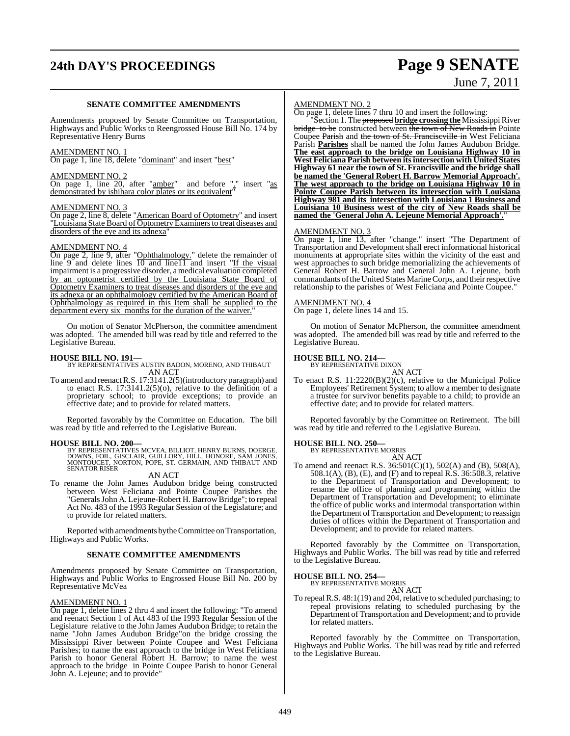# **24th DAY'S PROCEEDINGS Page 9 SENATE**

# June 7, 2011

### **SENATE COMMITTEE AMENDMENTS**

Amendments proposed by Senate Committee on Transportation, Highways and Public Works to Reengrossed House Bill No. 174 by Representative Henry Burns

### AMENDMENT NO. 1

On page 1, line 18, delete "dominant" and insert "best"

### AMENDMENT NO. 2

 $\overline{On}$  page 1, line  $\overline{20}$ , after "amber" and before "." insert "as demonstrated by ishihara color plates or its equivalent"

### AMENDMENT NO. 3

On page 2, line 8, delete "American Board of Optometry" and insert "Louisiana State Board of Optometry Examiners to treat diseases and disorders of the eye and its adnexa"

### AMENDMENT NO. 4

On page 2, line 9, after "Ophthalmology." delete the remainder of line 9 and delete lines 10 and line11 and insert "If the visual impairment is a progressive disorder, a medical evaluation completed by an optometrist certified by the Louisiana State Board of Optometry Examiners to treat diseases and disorders of the eye and its adnexa or an ophthalmology certified by the American Board of Ophthalmology as required in this Item shall be supplied to the department every six months for the duration of the waiver.

On motion of Senator McPherson, the committee amendment was adopted. The amended bill was read by title and referred to the Legislative Bureau.

### **HOUSE BILL NO. 191—**

BY REPRESENTATIVES AUSTIN BADON, MORENO, AND THIBAUT AN ACT

To amend and reenactR.S. 17:3141.2(5)(introductory paragraph) and to enact R.S. 17:3141.2(5)(o), relative to the definition of a proprietary school; to provide exceptions; to provide an effective date; and to provide for related matters.

Reported favorably by the Committee on Education. The bill was read by title and referred to the Legislative Bureau.

### **HOUSE BILL NO. 200—**

BY REPRESENTATIVES MCVEA, BILLIOT, HENRY BURNS, DOERGE,<br>DOWNS, FOIL, GISCLAIR, GUILLORY, HILL, HONORE, SAM JONES,<br>MONTOUCET, NORTON, POPE, ST. GERMAIN, AND THIBAUT AND SENATOR RISER

AN ACT

To rename the John James Audubon bridge being constructed between West Feliciana and Pointe Coupee Parishes the "Generals John A. Lejeune-Robert H. Barrow Bridge"; to repeal Act No. 483 of the 1993 Regular Session of the Legislature; and to provide for related matters.

Reported with amendments by the Committee on Transportation, Highways and Public Works.

### **SENATE COMMITTEE AMENDMENTS**

Amendments proposed by Senate Committee on Transportation, Highways and Public Works to Engrossed House Bill No. 200 by Representative McVea

### AMENDMENT NO. 1

On page 1, delete lines 2 thru 4 and insert the following: "To amend and reenact Section 1 of Act 483 of the 1993 Regular Session of the Legislature relative to the John James Audubon Bridge; to retain the name "John James Audubon Bridge"on the bridge crossing the Mississippi River between Pointe Coupee and West Feliciana Parishes; to name the east approach to the bridge in West Feliciana Parish to honor General Robert H. Barrow; to name the west approach to the bridge in Pointe Coupee Parish to honor General John A. Lejeune; and to provide"

### AMENDMENT NO. 2

On page 1, delete lines 7 thru 10 and insert the following:

"Section 1. The proposed bridge crossing the Mississippi River bridge to be constructed between the town of New Roads in Pointe Coupee Parish and the town of St. Franciscville in West Feliciana Parish **Parishes** shall be named the John James Audubon Bridge. **The east approach to the bridge on Louisiana Highway 10 in West Feliciana Parish between itsintersection with United States Highway 61 near the town of St. Francisville and the bridge shall be named the 'General Robert H. Barrow Memorial Approach'. The west approach to the bridge on Louisiana Highway 10 in Pointe Coupee Parish between its intersection with Louisiana Highway 981 and its intersection with Louisiana 1 Business and Louisiana 10 Business west of the city of New Roads shall be named the 'General John A. Lejeune Memorial Approach'.**"

### AMENDMENT NO. 3

On page 1, line 13, after "change." insert "The Department of Transportation and Development shall erect informational historical monuments at appropriate sites within the vicinity of the east and west approaches to such bridge memorializing the achievements of General Robert H. Barrow and General John A. Lejeune, both commandants of the United States Marine Corps, and their respective relationship to the parishes of West Feliciana and Pointe Coupee."

### AMENDMENT NO. 4

On page 1, delete lines 14 and 15.

On motion of Senator McPherson, the committee amendment was adopted. The amended bill was read by title and referred to the Legislative Bureau.

### **HOUSE BILL NO. 214—**

BY REPRESENTATIVE DIXON AN ACT

To enact R.S. 11:2220(B)(2)(c), relative to the Municipal Police Employees' Retirement System; to allow a member to designate a trustee for survivor benefits payable to a child; to provide an effective date; and to provide for related matters.

Reported favorably by the Committee on Retirement. The bill was read by title and referred to the Legislative Bureau.

### **HOUSE BILL NO. 250—**

BY REPRESENTATIVE MORRIS

AN ACT To amend and reenact R.S. 36:501(C)(1), 502(A) and (B), 508(A), 508.1(A), (B), (E), and (F) and to repeal R.S. 36:508.3, relative to the Department of Transportation and Development; to rename the office of planning and programming within the Department of Transportation and Development; to eliminate the office of public works and intermodal transportation within the Department of Transportation and Development; to reassign duties of offices within the Department of Transportation and Development; and to provide for related matters.

Reported favorably by the Committee on Transportation, Highways and Public Works. The bill was read by title and referred to the Legislative Bureau.

### **HOUSE BILL NO. 254—** BY REPRESENTATIVE MORRIS

AN ACT

To repeal R.S. 48:1(19) and 204, relative to scheduled purchasing; to repeal provisions relating to scheduled purchasing by the Department of Transportation and Development; and to provide for related matters.

Reported favorably by the Committee on Transportation, Highways and Public Works. The bill was read by title and referred to the Legislative Bureau.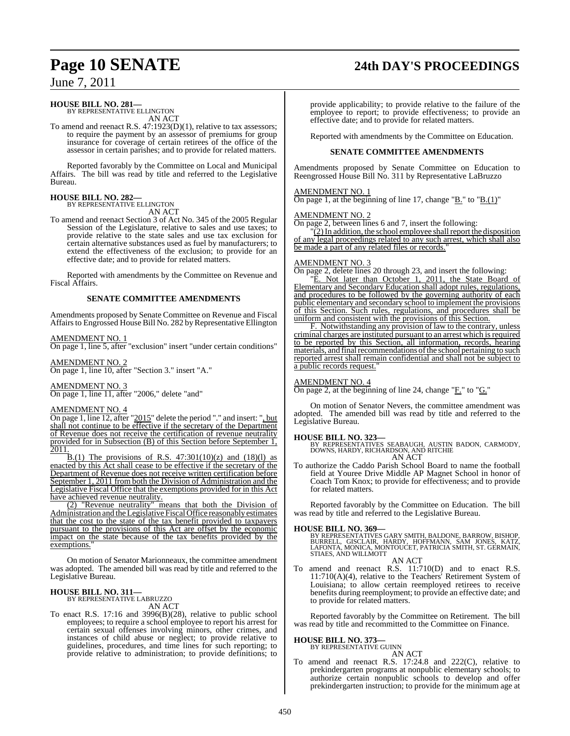## **Page 10 SENATE 24th DAY'S PROCEEDINGS**

June 7, 2011

## **HOUSE BILL NO. 281—** BY REPRESENTATIVE ELLINGTON

AN ACT

To amend and reenact R.S. 47:1923(D)(1), relative to tax assessors; to require the payment by an assessor of premiums for group insurance for coverage of certain retirees of the office of the assessor in certain parishes; and to provide for related matters.

Reported favorably by the Committee on Local and Municipal Affairs. The bill was read by title and referred to the Legislative Bureau.

### **HOUSE BILL NO. 282—** BY REPRESENTATIVE ELLINGTON

AN ACT

To amend and reenact Section 3 of Act No. 345 of the 2005 Regular Session of the Legislature, relative to sales and use taxes; to provide relative to the state sales and use tax exclusion for certain alternative substances used as fuel by manufacturers; to extend the effectiveness of the exclusion; to provide for an effective date; and to provide for related matters.

Reported with amendments by the Committee on Revenue and Fiscal Affairs.

### **SENATE COMMITTEE AMENDMENTS**

Amendments proposed by Senate Committee on Revenue and Fiscal Affairs to Engrossed House Bill No. 282 by Representative Ellington

### AMENDMENT NO. 1

On page 1, line 5, after "exclusion" insert "under certain conditions"

### AMENDMENT NO. 2

On page 1, line 10, after "Section 3." insert "A."

### AMENDMENT NO. 3

On page 1, line 11, after "2006," delete "and"

### AMENDMENT NO. 4

On page 1, line 12, after "2015" delete the period "." and insert: ", but shall not continue to be effective if the secretary of the Department of Revenue does not receive the certification of revenue neutrality provided for in Subsection (B) of this Section before September 1, 2011.

B.(1) The provisions of R.S.  $47:301(10)(z)$  and  $(18)(l)$  as enacted by this Act shall cease to be effective if the secretary of the Department of Revenue does not receive written certification before September 1, 2011 from both the Division of Administration and the Legislative Fiscal Office that the exemptions provided for in this Act have achieved revenue neutrality.

(2) "Revenue neutrality" means that both the Division of Administration and theLegislative Fiscal Office reasonably estimates that the cost to the state of the tax benefit provided to taxpayers pursuant to the provisions of this Act are offset by the economic impact on the state because of the tax benefits provided by the exemptions.

On motion of Senator Marionneaux, the committee amendment was adopted. The amended bill was read by title and referred to the Legislative Bureau.

## **HOUSE BILL NO. 311—** BY REPRESENTATIVE LABRUZZO

AN ACT

To enact R.S. 17:16 and 3996(B)(28), relative to public school employees; to require a school employee to report his arrest for certain sexual offenses involving minors, other crimes, and instances of child abuse or neglect; to provide relative to guidelines, procedures, and time lines for such reporting; to provide relative to administration; to provide definitions; to

provide applicability; to provide relative to the failure of the employee to report; to provide effectiveness; to provide an effective date; and to provide for related matters.

Reported with amendments by the Committee on Education.

### **SENATE COMMITTEE AMENDMENTS**

Amendments proposed by Senate Committee on Education to Reengrossed House Bill No. 311 by Representative LaBruzzo

### AMENDMENT NO. 1

On page 1, at the beginning of line 17, change " $\underline{B}$ ." to " $\underline{B}(1)$ "

### AMENDMENT NO. 2

On page 2, between lines 6 and 7, insert the following:

 $\sqrt{2}$ ) In addition, the school employee shall report the disposition of any legal proceedings related to any such arrest, which shall also be made a part of any related files or records."

### AMENDMENT NO. 3

On page 2, delete lines 20 through 23, and insert the following:

E. Not later than October 1, 2011, the State Board of Elementary and Secondary Education shall adopt rules, regulations, and procedures to be followed by the governing authority of each public elementary and secondary school to implement the provisions of this Section. Such rules, regulations, and procedures shall be uniform and consistent with the provisions of this Section.

F. Notwithstanding any provision of law to the contrary, unless criminal charges are instituted pursuant to an arrest which is required to be reported by this Section, all information, records, hearing materials, and final recommendations of the school pertaining to such reported arrest shall remain confidential and shall not be subject to a public records request.

### AMENDMENT NO. 4

On page 2, at the beginning of line 24, change "F." to "G."

On motion of Senator Nevers, the committee amendment was adopted. The amended bill was read by title and referred to the Legislative Bureau.

**HOUSE BILL NO. 323—** BY REPRESENTATIVES SEABAUGH, AUSTIN BADON, CARMODY, DOWNS, HARDY, RICHARDSON, AND RITCHIE AN ACT

To authorize the Caddo Parish School Board to name the football field at Youree Drive Middle AP Magnet School in honor of Coach Tom Knox; to provide for effectiveness; and to provide for related matters.

Reported favorably by the Committee on Education. The bill was read by title and referred to the Legislative Bureau.

## **HOUSE BILL NO. 369—**

BY REPRESENTATIVES GARY SMITH, BALDONE, BARROW, BISHOP,<br>BURRELL, GISCLAIR, HARDY, HOFFMANN, SAM JONES, KATZ,<br>LAFONTA, MONICA, MONTOUCET, PATRICIA SMITH, ST. GERMAIN, STIAES, AND WILLMOTT AN ACT

To amend and reenact R.S. 11:710(D) and to enact R.S. 11:710(A)(4), relative to the Teachers' Retirement System of Louisiana; to allow certain reemployed retirees to receive benefits during reemployment; to provide an effective date; and to provide for related matters.

Reported favorably by the Committee on Retirement. The bill was read by title and recommitted to the Committee on Finance.

### **HOUSE BILL NO. 373—**

BY REPRESENTATIVE GUINN

AN ACT To amend and reenact R.S. 17:24.8 and 222(C), relative to prekindergarten programs at nonpublic elementary schools; to authorize certain nonpublic schools to develop and offer prekindergarten instruction; to provide for the minimum age at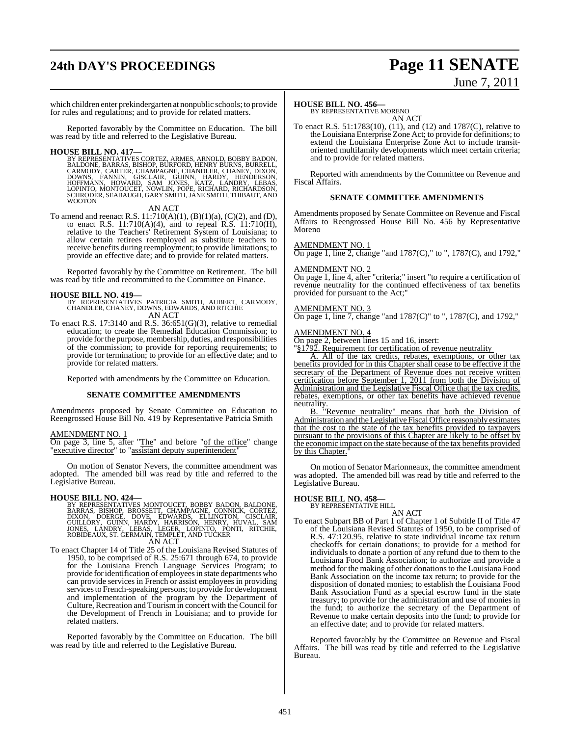# **24th DAY'S PROCEEDINGS Page 11 SENATE**

# June 7, 2011

which children enter prekindergarten at nonpublic schools; to provide for rules and regulations; and to provide for related matters.

Reported favorably by the Committee on Education. The bill was read by title and referred to the Legislative Bureau.

### **HOUSE BILL NO. 417—**

BY REPRESENTATIVES CORTEZ, ARMES, ARNOLD, BOBBY BADON,<br>BALDONE, BARRAS, BISHOP, BURFORD, HENRY BURNS, BURRELL,<br>CARMODY, CARTER, CHAMPAGNE, CHANDLER, CHANEY, DIXON,<br>DOWNS, FANNIN, GISCLAIR, GUINN, HARDY, HENDERSON,<br>HOFFMANN **WOOTON** 

### AN ACT

To amend and reenact R.S.  $11:710(A)(1)$ ,  $(B)(1)(a)$ ,  $(C)(2)$ , and  $(D)$ , to enact R.S. 11:710(A)(4), and to repeal R.S. 11:710(H), relative to the Teachers' Retirement System of Louisiana; to allow certain retirees reemployed as substitute teachers to receive benefits during reemployment; to provide limitations; to provide an effective date; and to provide for related matters.

Reported favorably by the Committee on Retirement. The bill was read by title and recommitted to the Committee on Finance.

### **HOUSE BILL NO. 419—**

BY REPRESENTATIVES PATRICIA SMITH, AUBERT, CARMODY, CHANDLER, CHANEY, DOWNS, EDWARDS, AND RITCHIE AN ACT

To enact R.S. 17:3140 and R.S. 36:651(G)(3), relative to remedial education; to create the Remedial Education Commission; to provide for the purpose, membership, duties, and responsibilities of the commission; to provide for reporting requirements; to provide for termination; to provide for an effective date; and to provide for related matters.

Reported with amendments by the Committee on Education.

### **SENATE COMMITTEE AMENDMENTS**

Amendments proposed by Senate Committee on Education to Reengrossed House Bill No. 419 by Representative Patricia Smith

### AMENDMENT NO. 1

On page 3, line 5, after "The" and before "of the office" change "executive director" to "assistant deputy superintendent"

On motion of Senator Nevers, the committee amendment was adopted. The amended bill was read by title and referred to the Legislative Bureau.

### **HOUSE BILL NO. 424—**

BY REPRESENTATIVES MONTOUCET, BOBBY BADON, BALDONE,<br>BARRAS, BISHOP, BROSSETT, CHAMPAGNE, CONNICK, CORTEZ,<br>DIXON, DOERGE, DOVE, EDWARDS, ELLINGTON, GISCLAIR,<br>GUILLORY, GUINN, HARDY, HARRISON, HENRY, HUVAL, SAM<br>JONES, LANDRY AN ACT

To enact Chapter 14 of Title 25 of the Louisiana Revised Statutes of 1950, to be comprised of R.S. 25:671 through 674, to provide for the Louisiana French Language Services Program; to provide for identification of employees in state departments who can provide services in French or assist employees in providing services to French-speaking persons; to provide for development and implementation of the program by the Department of Culture, Recreation and Tourism in concert with the Council for the Development of French in Louisiana; and to provide for related matters.

Reported favorably by the Committee on Education. The bill was read by title and referred to the Legislative Bureau.

### **HOUSE BILL NO. 456—**

BY REPRESENTATIVE MORENO AN ACT

To enact R.S. 51:1783(10), (11), and (12) and 1787(C), relative to the Louisiana Enterprise Zone Act; to provide for definitions; to extend the Louisiana Enterprise Zone Act to include transitoriented multifamily developments which meet certain criteria; and to provide for related matters.

Reported with amendments by the Committee on Revenue and Fiscal Affairs.

### **SENATE COMMITTEE AMENDMENTS**

Amendments proposed by Senate Committee on Revenue and Fiscal Affairs to Reengrossed House Bill No. 456 by Representative Moreno

### AMENDMENT NO. 1

On page 1, line 2, change "and 1787(C)," to ", 1787(C), and 1792,"

### AMENDMENT NO. 2

On page 1, line 4, after "criteria;" insert "to require a certification of revenue neutrality for the continued effectiveness of tax benefits provided for pursuant to the Act;"

### AMENDMENT NO. 3

On page 1, line 7, change "and 1787(C)" to ", 1787(C), and 1792,"

### AMENDMENT NO. 4

On page 2, between lines 15 and 16, insert:

"§1792. Requirement for certification of revenue neutrality

A. All of the tax credits, rebates, exemptions, or other tax benefits provided for in this Chapter shall cease to be effective if the secretary of the Department of Revenue does not receive written certification before September 1, 2011 from both the Division of Administration and the Legislative Fiscal Office that the tax credits, rebates, exemptions, or other tax benefits have achieved revenue neutrality.

B. "Revenue neutrality" means that both the Division of Administration and the Legislative Fiscal Office reasonably estimates Administration and the Legislative Fiscal Office reasonably estimates<br>that the cost to the state of the tax benefits provided to taxpayers pursuant to the provisions of this Chapter are likely to be offset by the economic impact on the state because of the tax benefits provided by this Chapter.

On motion of Senator Marionneaux, the committee amendment was adopted. The amended bill was read by title and referred to the Legislative Bureau.

## **HOUSE BILL NO. 458—** BY REPRESENTATIVE HILL

- AN ACT
- To enact Subpart BB of Part 1 of Chapter 1 of Subtitle II of Title 47 of the Louisiana Revised Statutes of 1950, to be comprised of R.S. 47:120.95, relative to state individual income tax return checkoffs for certain donations; to provide for a method for individuals to donate a portion of any refund due to them to the Louisiana Food Bank Association; to authorize and provide a method for the making of other donationsto the Louisiana Food Bank Association on the income tax return; to provide for the disposition of donated monies; to establish the Louisiana Food Bank Association Fund as a special escrow fund in the state treasury; to provide for the administration and use of monies in the fund; to authorize the secretary of the Department of Revenue to make certain deposits into the fund; to provide for an effective date; and to provide for related matters.

Reported favorably by the Committee on Revenue and Fiscal Affairs. The bill was read by title and referred to the Legislative Bureau.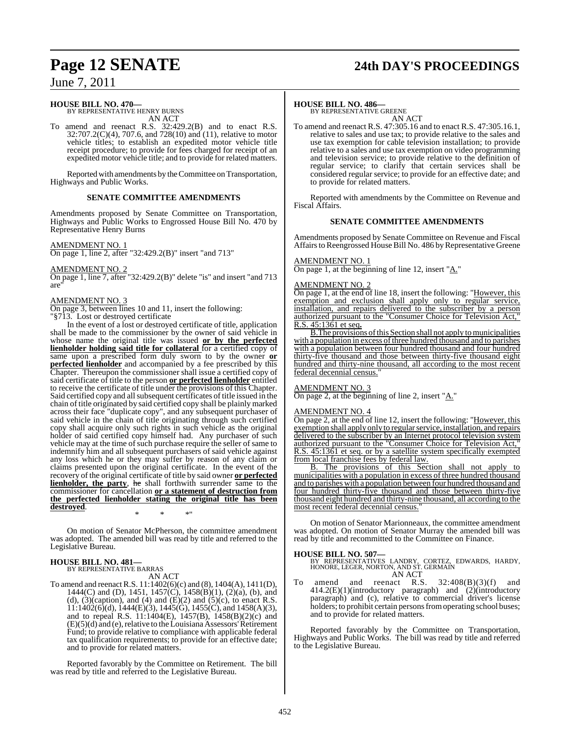# **Page 12 SENATE 24th DAY'S PROCEEDINGS**

June 7, 2011

### **HOUSE BILL NO. 470—**

BY REPRESENTATIVE HENRY BURNS AN ACT

To amend and reenact R.S. 32:429.2(B) and to enact R.S. 32:707.2(C)(4), 707.6, and 728(10) and (11), relative to motor vehicle titles; to establish an expedited motor vehicle title receipt procedure; to provide for fees charged for receipt of an expedited motor vehicle title; and to provide for related matters.

Reported with amendments by the Committee on Transportation, Highways and Public Works.

### **SENATE COMMITTEE AMENDMENTS**

Amendments proposed by Senate Committee on Transportation, Highways and Public Works to Engrossed House Bill No. 470 by Representative Henry Burns

### AMENDMENT NO. 1

On page 1, line 2, after "32:429.2(B)" insert "and 713"

AMENDMENT NO. 2

On page 1, line 7, after "32:429.2(B)" delete "is" and insert "and 713 are"

### AMENDMENT NO. 3

On page 3, between lines 10 and 11, insert the following:

"§713. Lost or destroyed certificate

In the event of a lost or destroyed certificate of title, application shall be made to the commissioner by the owner of said vehicle in whose name the original title was issued **or by the perfected lienholder holding said title for collateral** for a certified copy of same upon a prescribed form duly sworn to by the owner **or perfected lienholder** and accompanied by a fee prescribed by this Chapter. Thereupon the commissioner shall issue a certified copy of said certificate of title to the person **or perfected lienholder** entitled to receive the certificate of title under the provisions of this Chapter. Said certified copy and all subsequent certificates of title issued in the chain of title originated by said certified copy shall be plainly marked across their face "duplicate copy", and any subsequent purchaser of said vehicle in the chain of title originating through such certified copy shall acquire only such rights in such vehicle as the original holder of said certified copy himself had. Any purchaser of such vehicle may at the time of such purchase require the seller of same to indemnify him and all subsequent purchasers of said vehicle against any loss which he or they may suffer by reason of any claim or claims presented upon the original certificate. In the event of the recovery of the original certificate of title by said owner **or perfected lienholder, the party**, he shall forthwith surrender same to the commissioner for cancellation **or a statement of destruction from the perfected lienholder stating the original title has been destroyed**. \* \* \*"

On motion of Senator McPherson, the committee amendment was adopted. The amended bill was read by title and referred to the Legislative Bureau.

## **HOUSE BILL NO. 481—** BY REPRESENTATIVE BARRAS

AN ACT

To amend and reenactR.S. 11:1402(6)(c) and (8), 1404(A), 1411(D), 1444(C) and (D), 1451, 1457(C), 1458(B)(1), (2)(a), (b), and (d), (3)(caption), and (4) and (E)(2) and (5)(c), to enact R.S. 11:1402(6)(d), 1444(E)(3), 1445(G), 1455(C), and 1458(A)(3), and to repeal R.S. 11:1404(E), 1457(B), 1458(B)(2)(c) and  $(E)(5)(d)$  and (e), relative to the Louisiana Assessors' Retirement Fund; to provide relative to compliance with applicable federal tax qualification requirements; to provide for an effective date; and to provide for related matters.

Reported favorably by the Committee on Retirement. The bill was read by title and referred to the Legislative Bureau.

## **HOUSE BILL NO. 486—** BY REPRESENTATIVE GREENE

AN ACT

To amend and reenact R.S. 47:305.16 and to enact R.S. 47:305.16.1, relative to sales and use tax; to provide relative to the sales and use tax exemption for cable television installation; to provide relative to a sales and use tax exemption on video programming and television service; to provide relative to the definition of regular service; to clarify that certain services shall be considered regular service; to provide for an effective date; and to provide for related matters.

Reported with amendments by the Committee on Revenue and Fiscal Affairs.

### **SENATE COMMITTEE AMENDMENTS**

Amendments proposed by Senate Committee on Revenue and Fiscal Affairs to Reengrossed House Bill No. 486 by Representative Greene

### AMENDMENT NO. 1

On page 1, at the beginning of line 12, insert "A."

### AMENDMENT NO. 2

On page 1, at the end of line 18, insert the following: "However, this exemption and exclusion shall apply only to regular service, installation, and repairs delivered to the subscriber by a person authorized pursuant to the "Consumer Choice for Television Act," R.S. 45:1361 et seq**.**

B. The provisions of this Section shall not apply to municipalities with a population in excess of three hundred thousand and to parishes with a population between four hundred thousand and four hundred thirty-five thousand and those between thirty-five thousand eight hundred and thirty-nine thousand, all according to the most recent federal decennial census.

## AMENDMENT NO. 3

On page 2, at the beginning of line 2, insert "A."

### AMENDMENT NO. 4

On page 2, at the end of line 12, insert the following: "However, this exemption shall apply only to regular service, installation, and repairs delivered to the subscriber by an Internet protocol television system authorized pursuant to the "Consumer Choice for Television Act," R.S. 45:1361 et seq. or by a satellite system specifically exempted from local franchise fees by federal law.

The provisions of this Section shall not apply to municipalities with a population in excess of three hundred thousand and to parishes with a population between four hundred thousand and four hundred thirty-five thousand and those between thirty-five thousand eight hundred and thirty-nine thousand, all according to the most recent federal decennial census.

On motion of Senator Marionneaux, the committee amendment was adopted. On motion of Senator Murray the amended bill was read by title and recommitted to the Committee on Finance.

- **HOUSE BILL NO. 507—** BY REPRESENTATIVES LANDRY, CORTEZ, EDWARDS, HARDY, HONORE, LEGER, NORTON, AND ST. GERMAIN AN ACT
- To amend and reenact R.S.  $32:408(B)(3)(f)$  and amend and reenact R.S.  $32:408(B)(3)(f)$  and  $414.2(E)(1)(introductory paragraph)$  and  $(2)(introductory)$ paragraph) and (c), relative to commercial driver's license holders; to prohibit certain persons from operating school buses; and to provide for related matters.

Reported favorably by the Committee on Transportation, Highways and Public Works. The bill was read by title and referred to the Legislative Bureau.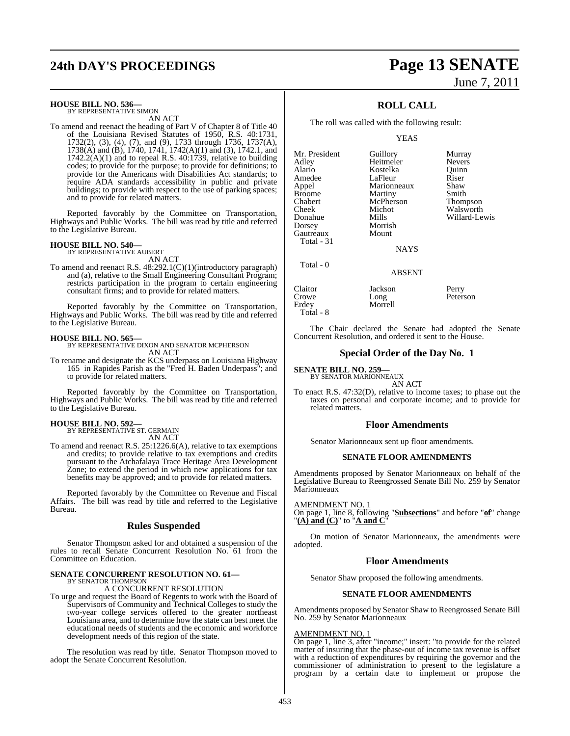# **24th DAY'S PROCEEDINGS Page 13 SENATE**

## **HOUSE BILL NO. 536—** BY REPRESENTATIVE SIMON

AN ACT

To amend and reenact the heading of Part V of Chapter 8 of Title 40 of the Louisiana Revised Statutes of 1950, R.S. 40:1731, 1732(2), (3), (4), (7), and (9), 1733 through 1736, 1737(A), 1738(A) and (B), 1740, 1741, 1742(A)(1) and (3), 1742.1, and  $1742.2(A)(1)$  and to repeal R.S. 40:1739, relative to building codes; to provide for the purpose; to provide for definitions; to provide for the Americans with Disabilities Act standards; to require ADA standards accessibility in public and private buildings; to provide with respect to the use of parking spaces; and to provide for related matters.

Reported favorably by the Committee on Transportation, Highways and Public Works. The bill was read by title and referred to the Legislative Bureau.

### **HOUSE BILL NO. 540—**

BY REPRESENTATIVE AUBERT

AN ACT To amend and reenact R.S. 48:292.1(C)(1)(introductory paragraph) and (a), relative to the Small Engineering Consultant Program; restricts participation in the program to certain engineering consultant firms; and to provide for related matters.

Reported favorably by the Committee on Transportation, Highways and Public Works. The bill was read by title and referred to the Legislative Bureau.

**HOUSE BILL NO. 565—** BY REPRESENTATIVE DIXON AND SENATOR MCPHERSON AN ACT

To rename and designate the KCS underpass on Louisiana Highway 165 in Rapides Parish as the "Fred H. Baden Underpass"; and to provide for related matters.

Reported favorably by the Committee on Transportation, Highways and Public Works. The bill was read by title and referred to the Legislative Bureau.

### **HOUSE BILL NO. 592—**

BY REPRESENTATIVE ST. GERMAIN AN ACT

To amend and reenact R.S. 25:1226.6(A), relative to tax exemptions and credits; to provide relative to tax exemptions and credits pursuant to the Atchafalaya Trace Heritage Area Development Zone; to extend the period in which new applications for tax benefits may be approved; and to provide for related matters.

Reported favorably by the Committee on Revenue and Fiscal Affairs. The bill was read by title and referred to the Legislative Bureau.

### **Rules Suspended**

Senator Thompson asked for and obtained a suspension of the rules to recall Senate Concurrent Resolution No. 61 from the Committee on Education.

## **SENATE CONCURRENT RESOLUTION NO. 61—** BY SENATOR THOMPSON

A CONCURRENT RESOLUTION

To urge and request the Board of Regents to work with the Board of Supervisors of Community and Technical Colleges to study the two-year college services offered to the greater northeast Louisiana area, and to determine how the state can best meet the educational needs of students and the economic and workforce development needs of this region of the state.

The resolution was read by title. Senator Thompson moved to adopt the Senate Concurrent Resolution.

# June 7, 2011

## **ROLL CALL**

The roll was called with the following result:

YEAS

| Mr. President<br>Adley<br>Alario<br>Amedee<br>Appel<br>Broome<br>Chabert<br>Cheek | Guillory<br>Heitmeier<br>Kostelka<br>LaFleur<br>Marionneaux<br>Martiny<br>McPherson<br>Michot | Murray<br><b>Nevers</b><br>Quinn<br>Riser<br>Shaw<br>Smith<br>Thompson<br>Walsworth |
|-----------------------------------------------------------------------------------|-----------------------------------------------------------------------------------------------|-------------------------------------------------------------------------------------|
|                                                                                   |                                                                                               |                                                                                     |
| Donahue                                                                           | Mills                                                                                         | Willard-Lewis                                                                       |
| Dorsey<br>Gautreaux                                                               | Morrish<br>Mount                                                                              |                                                                                     |
| Total - 31                                                                        | <b>NAYS</b>                                                                                   |                                                                                     |
| Total - 0                                                                         | <b>ABSENT</b>                                                                                 |                                                                                     |
| Claitor<br>Crowe<br>Erdey                                                         | Jackson<br>Long<br>Morrell                                                                    | Perry<br>Peterson                                                                   |

The Chair declared the Senate had adopted the Senate Concurrent Resolution, and ordered it sent to the House.

### **Special Order of the Day No. 1**

## **SENATE BILL NO. 259—**

Total - 8

BY SENATOR MARIONNEAUX AN ACT

To enact R.S. 47:32(D), relative to income taxes; to phase out the taxes on personal and corporate income; and to provide for related matters.

### **Floor Amendments**

Senator Marionneaux sent up floor amendments.

### **SENATE FLOOR AMENDMENTS**

Amendments proposed by Senator Marionneaux on behalf of the Legislative Bureau to Reengrossed Senate Bill No. 259 by Senator Marionneaux

AMENDMENT NO. 1

On page 1, line 8, following "**Subsections**" and before "**of**" change "**(A) and (C)**" to "**A and C**"

On motion of Senator Marionneaux, the amendments were adopted.

### **Floor Amendments**

Senator Shaw proposed the following amendments.

### **SENATE FLOOR AMENDMENTS**

Amendments proposed by Senator Shaw to Reengrossed Senate Bill No. 259 by Senator Marionneaux

### AMENDMENT NO. 1

On page 1, line 3, after "income;" insert: "to provide for the related matter of insuring that the phase-out of income tax revenue is offset with a reduction of expenditures by requiring the governor and the commissioner of administration to present to the legislature a program by a certain date to implement or propose the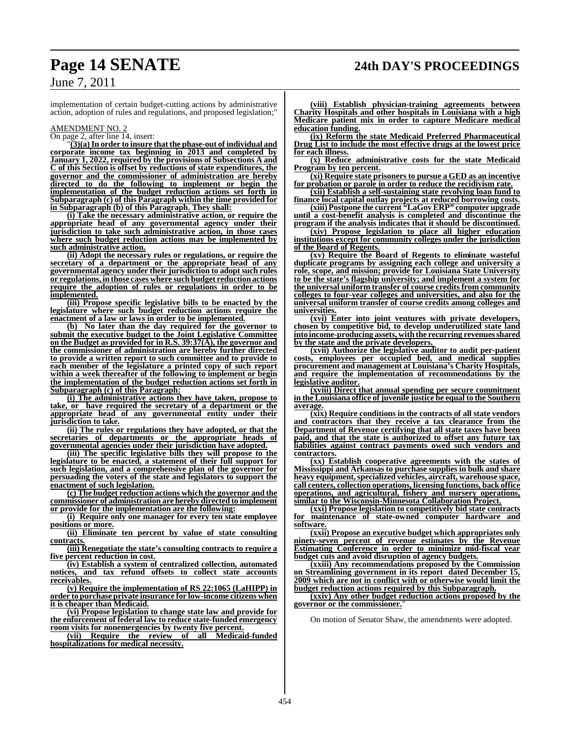implementation of certain budget-cutting actions by administrative action, adoption of rules and regulations, and proposed legislation;"

### AMENDMENT NO. 2

 $\frac{1}{\text{On page 2, after line 14, insert:}}$ 

"**(3)(a)In order to insure that the phase-out of individual and corporate income tax beginning in 2013 and completed by January 1, 2022, required by the provisions of Subsections A and C of this Section is offset by reductions of state expenditures, the governor and the commissioner of administration are hereby directed to do the following to implement or begin the implementation of the budget reduction actions set forth in Subparagraph (c) of this Paragraph within the time provided for in Subparagraph (b) of this Paragraph. They shall:**

**(i) Take the necessary administrative action, or require the appropriate head of any governmental agency under their jurisdiction to take such administrative action, in those cases where such budget reduction actions may be implemented by such administrative action.**

**(ii) Adopt the necessary rules or regulations, or require the secretary of a department or the appropriate head of any governmental agency under their jurisdiction to adopt such rules or regulations, in those cases where such budget reduction actions require the adoption of rules or regulations in order to be implemented.**

**(iii) Propose specific legislative bills to be enacted by the legislature where such budget reduction actions require the enactment of a law or laws in order to be implemented.**

**(b) No later than the day required for the governor to submit the executive budget to the Joint Legislative Committee on the Budget as provided for in R.S. 39:37(A), the governor and the commissioner of administration are hereby further directed to provide a written report to such committee and to provide to each member of the legislature a printed copy of such report within a week thereafter of the following to implement or begin the implementation of the budget reduction actions set forth in Subparagraph (c) of this Paragraph:**

**(i) The administrative actions they have taken, propose to take, or have required the secretary of a department or the appropriate head of any governmental entity under their jurisdiction to take.**

**(ii) The rules or regulations they have adopted, or that the secretaries of departments or the appropriate heads of governmental agencies under their jurisdiction have adopted.**

**(iii) The specific legislative bills they will propose to the legislature to be enacted, a statement of their full support for such legislation, and a comprehensive plan of the governor for persuading the voters of the state and legislators to support the enactment of such legislation.**

**(c) The budget reduction actions which the governor and the commissioner of administration are hereby directed to implement or provide for the implementation are the following:**

**(i) Require only one manager for every ten state employee positions or more.**

**(ii) Eliminate ten percent by value of state consulting contracts.**

**(iii) Renegotiate the state's consulting contracts to require a five percent reduction in cost.**

**(iv) Establish a system of centralized collection, automated notices, and tax refund offsets to collect state accounts receivables.**

**(v) Require the implementation of RS 22:1065 (LaHIPP) in order to purchase private insurance for low-income citizens when it is cheaper than Medicaid.**

**(vi) Propose legislation to change state law and provide for the enforcement of federal law to reduce state-funded emergency room visits for nonemergencies by twenty five percent.**

**(vii) Require the review of all Medicaid-funded hospitalizations for medical necessity.**

**(viii) Establish physician-training agreements between Charity Hospitals and other hospitals in Louisiana with a high Medicare patient mix in order to capture Medicare medical education funding.**

**(ix) Reform the state Medicaid Preferred Pharmaceutical Drug List to include the most effective drugs at the lowest price for each illness.**

**(x) Reduce administrative costs for the state Medicaid Program by ten percent.**

**(xi) Require state prisoners to pursue a GED as an incentive for probation or parole in order to reduce the recidivism rate.**

**(xii) Establish a self-sustaining state revolving loan fund to finance local capital outlay projects at reduced borrowing costs. (xiii) Postpone the current "LaGovERP" computer upgrade**

**until a cost-benefit analysis is completed and discontinue the program if the analysis indicates that it should be discontinued.**

**(xiv) Propose legislation to place all higher education institutions except for community colleges under the jurisdiction of the Board of Regents.**

**(xv) Require the Board of Regents to eliminate wasteful duplicate programs by assigning each college and university a role, scope, and mission; provide for Louisiana State University to be the state's flagship university; and implement a system for the universal uniform transfer of course credits from community colleges to four-year colleges and universities, and also for the universal uniform transfer of course credits among colleges and universities.**

**(xvi) Enter into joint ventures with private developers, chosen by competitive bid, to develop underutilized state land into income-producing assets, with the recurring revenuesshared by the state and the private developers.** 

**(xvii) Authorize the legislative auditor to audit per-patient costs, employees per occupied bed, and medical supplies procurement and management at Louisiana's Charity Hospitals, and require the implementation of recommendations by the legislative auditor.**

**(xviii) Direct that annual spending per secure commitment in the Louisiana office of juvenile justice be equal to the Southern average.**

**(xix) Require conditions in the contracts of all state vendors and contractors that they receive a tax clearance from the Department of Revenue certifying that all state taxes have been paid, and that the state is authorized to offset any future tax liabilities against contract payments owed such vendors and contractors.**

**(xx) Establish cooperative agreements with the states of Mississippi and Arkansas to purchase supplies in bulk and share heavy equipment,specialized vehicles, aircraft, warehouse space, call centers, collection operations, licensing functions, back office operations, and agricultural, fishery and nursery operations, similar to the Wisconsin-Minnesota Collaboration Project.**

**(xxi) Propose legislation to competitively bid state contracts for maintenance of state-owned computer hardware and software.**

**(xxii) Propose an executive budget which appropriates only ninety-seven percent of revenue estimates by the Revenue Estimating Conference in order to minimize mid-fiscal year budget cuts and avoid disruption of agency budgets.**

**(xxiii) Any recommendations proposed by the Commission on Streamlining government in its report dated December 15, 2009 which are not in conflict with or otherwise would limit the budget reduction actions required by this Subparagraph.**

**(xxiv) Any other budget reduction actions proposed by the** governor or the commissioner.

On motion of Senator Shaw, the amendments were adopted.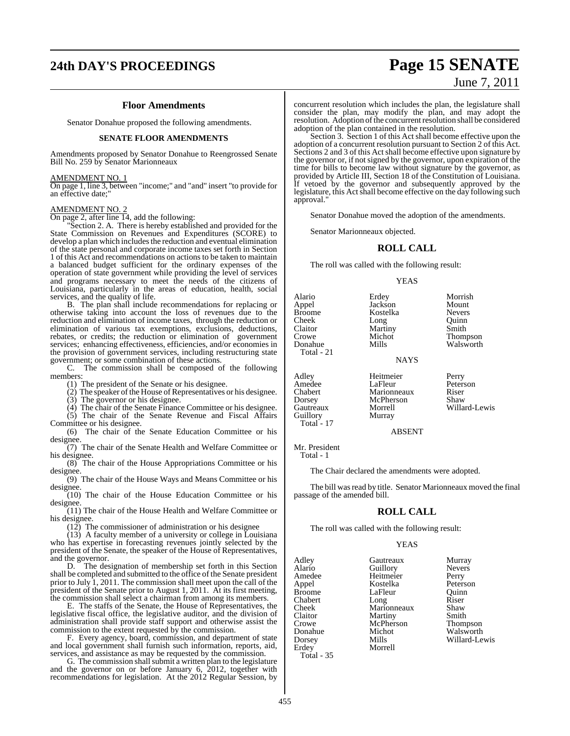# **24th DAY'S PROCEEDINGS Page 15 SENATE**

### **Floor Amendments**

Senator Donahue proposed the following amendments.

### **SENATE FLOOR AMENDMENTS**

Amendments proposed by Senator Donahue to Reengrossed Senate Bill No. 259 by Senator Marionneaux

### AMENDMENT NO. 1

On page 1, line 3, between "income;" and "and" insert "to provide for an effective date;"

### AMENDMENT NO. 2

On page 2, after line 14, add the following:

Section 2. A. There is hereby established and provided for the State Commission on Revenues and Expenditures (SCORE) to develop a plan which includes the reduction and eventual elimination of the state personal and corporate income taxes set forth in Section 1 of this Act and recommendations on actions to be taken to maintain a balanced budget sufficient for the ordinary expenses of the operation of state government while providing the level of services and programs necessary to meet the needs of the citizens of Louisiana, particularly in the areas of education, health, social services, and the quality of life.

B. The plan shall include recommendations for replacing or otherwise taking into account the loss of revenues due to the reduction and elimination of income taxes, through the reduction or elimination of various tax exemptions, exclusions, deductions, rebates, or credits; the reduction or elimination of government services; enhancing effectiveness, efficiencies, and/or economies in the provision of government services, including restructuring state government; or some combination of these actions.

C. The commission shall be composed of the following members:

(1) The president of the Senate or his designee.

- (2) The speaker of the House of Representatives or his designee.
- $(3)$  The governor or his designee.

(4) The chair of the Senate Finance Committee or his designee. (5) The chair of the Senate Revenue and Fiscal Affairs

Committee or his designee. (6) The chair of the Senate Education Committee or his

designee.

(7) The chair of the Senate Health and Welfare Committee or his designee.

(8) The chair of the House Appropriations Committee or his designee.

(9) The chair of the House Ways and Means Committee or his designee

 $(10)$  The chair of the House Education Committee or his designee.

(11) The chair of the House Health and Welfare Committee or his designee.

 $(12)$  The commissioner of administration or his designee

 $(13)$  A faculty member of a university or college in Louisiana who has expertise in forecasting revenues jointly selected by the president of the Senate, the speaker of the House of Representatives, and the governor.<br>D. The des

The designation of membership set forth in this Section shall be completed and submitted to the office of the Senate president prior to July 1, 2011. The commission shall meet upon the call of the president of the Senate prior to August 1, 2011. At its first meeting, the commission shall select a chairman from among its members.

E. The staffs of the Senate, the House of Representatives, the legislative fiscal office, the legislative auditor, and the division of administration shall provide staff support and otherwise assist the commission to the extent requested by the commission.

F. Every agency, board, commission, and department of state and local government shall furnish such information, reports, aid, services, and assistance as may be requested by the commission.

G. The commission shall submit a written plan to the legislature and the governor on or before January 6, 2012, together with recommendations for legislation. At the 2012 Regular Session, by

June 7, 2011

concurrent resolution which includes the plan, the legislature shall consider the plan, may modify the plan, and may adopt the resolution. Adoption of the concurrent resolution shall be considered adoption of the plan contained in the resolution.

Section 3. Section 1 of this Act shall become effective upon the adoption of a concurrent resolution pursuant to Section 2 of this Act. Sections 2 and 3 of this Act shall become effective upon signature by the governor or, if not signed by the governor, upon expiration of the time for bills to become law without signature by the governor, as provided by Article III, Section 18 of the Constitution of Louisiana. If vetoed by the governor and subsequently approved by the legislature, this Act shall become effective on the day following such approval."

Senator Donahue moved the adoption of the amendments.

Senator Marionneaux objected.

### **ROLL CALL**

The roll was called with the following result:

### YEAS

Alario Erdey Morrish Appel Jackson Mount Broome Koste<br>Cheek Long Cheek Long Quinn<br>Claitor Martiny Smith Claitor Martiny<br>Crowe Michot Crowe Michot Thompson<br>
Donahue Mills Walsworth

Total - 21

Dorsey McPherson<br>Gautreaux Morrell Guillory Murray Total - 17

**NAYS** Adley Heitmeier Perry<br>Amedee LaFleur Peters Amedee LaFleur Peterson<br>Chabert Marionneaux Riser Chabert Marionneaux Riser<br>
Dorsey McPherson Shaw

willard-Lewis

Walsworth

ABSENT

Mr. President Total - 1

The Chair declared the amendments were adopted.

The bill was read by title. Senator Marionneaux moved the final passage of the amended bill.

### **ROLL CALL**

The roll was called with the following result:

### YEAS

Adley Gautreaux Murray<br>Alario Guillory Nevers Amedee Heitmeier Perry<br>Appel Kostelka Peterson Appel Kostelka Peterson Chabert Long Riser<br>Cheek Marionneaux Shaw Cheek Marionneaux Shaw<br>Claitor Martiny Smith Claitor Martiny Smith<br>
Crowe McPherson Thompson Donahue Michot Walsworth<br>
Dorsey Mills Willard-Le Dorsey Mills Willard-Lewis Total - 35

Guillory LaFleur Quinn<br>Long Riser McPherson **Morrell**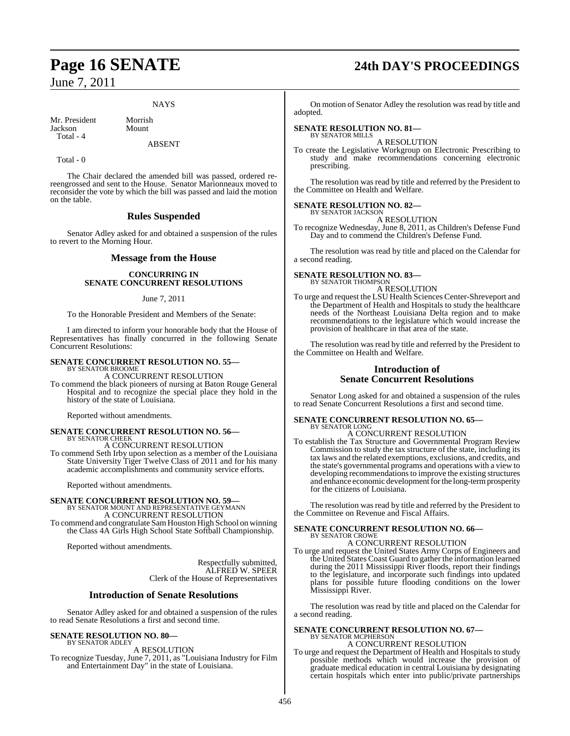### **NAYS**

Mr. President Morrish<br>Iackson Mount **Jackson** Total - 4

### ABSENT

Total - 0

The Chair declared the amended bill was passed, ordered rereengrossed and sent to the House. Senator Marionneaux moved to reconsider the vote by which the bill was passed and laid the motion on the table.

### **Rules Suspended**

Senator Adley asked for and obtained a suspension of the rules to revert to the Morning Hour.

### **Message from the House**

### **CONCURRING IN SENATE CONCURRENT RESOLUTIONS**

### June 7, 2011

To the Honorable President and Members of the Senate:

I am directed to inform your honorable body that the House of Representatives has finally concurred in the following Senate Concurrent Resolutions:

### **SENATE CONCURRENT RESOLUTION NO. 55—**

BY SENATOR BROOME A CONCURRENT RESOLUTION

To commend the black pioneers of nursing at Baton Rouge General Hospital and to recognize the special place they hold in the history of the state of Louisiana.

Reported without amendments.

### **SENATE CONCURRENT RESOLUTION NO. 56—** BY SENATOR CHEEK

A CONCURRENT RESOLUTION To commend Seth Irby upon selection as a member of the Louisiana State University Tiger Twelve Class of 2011 and for his many academic accomplishments and community service efforts.

Reported without amendments.

## **SENATE CONCURRENT RESOLUTION NO. 59—** BY SENATOR MOUNT AND REPRESENTATIVE GEYMANN

A CONCURRENT RESOLUTION To commend and congratulate SamHouston High School on winning the Class 4A Girls High School State Softball Championship.

Reported without amendments.

Respectfully submitted, ALFRED W. SPEER Clerk of the House of Representatives

### **Introduction of Senate Resolutions**

Senator Adley asked for and obtained a suspension of the rules to read Senate Resolutions a first and second time.

### **SENATE RESOLUTION NO. 80—**

BY SENATOR ADLEY A RESOLUTION

To recognize Tuesday, June 7, 2011, as "Louisiana Industry for Film and Entertainment Day" in the state of Louisiana.

# **Page 16 SENATE 24th DAY'S PROCEEDINGS**

On motion of Senator Adley the resolution was read by title and adopted.

## **SENATE RESOLUTION NO. 81—** BY SENATOR MILLS

A RESOLUTION

To create the Legislative Workgroup on Electronic Prescribing to study and make recommendations concerning electronic prescribing.

The resolution was read by title and referred by the President to the Committee on Health and Welfare.

### **SENATE RESOLUTION NO. 82—** BY SENATOR JACKSON

A RESOLUTION

To recognize Wednesday, June 8, 2011, as Children's Defense Fund Day and to commend the Children's Defense Fund.

The resolution was read by title and placed on the Calendar for a second reading.

### **SENATE RESOLUTION NO. 83—**

BY SENATOR THOMPSON A RESOLUTION

To urge and request the LSU Health Sciences Center-Shreveport and the Department of Health and Hospitals to study the healthcare needs of the Northeast Louisiana Delta region and to make recommendations to the legislature which would increase the provision of healthcare in that area of the state.

The resolution was read by title and referred by the President to the Committee on Health and Welfare.

### **Introduction of Senate Concurrent Resolutions**

Senator Long asked for and obtained a suspension of the rules to read Senate Concurrent Resolutions a first and second time.

### **SENATE CONCURRENT RESOLUTION NO. 65—** BY SENATOR LONG

A CONCURRENT RESOLUTION

To establish the Tax Structure and Governmental Program Review Commission to study the tax structure of the state, including its tax laws and the related exemptions, exclusions, and credits, and the state's governmental programs and operations with a view to developing recommendations to improve the existing structures and enhance economic development for the long-term prosperity for the citizens of Louisiana.

The resolution was read by title and referred by the President to the Committee on Revenue and Fiscal Affairs.

### **SENATE CONCURRENT RESOLUTION NO. 66—** BY SENATOR CROWE

A CONCURRENT RESOLUTION

To urge and request the United States Army Corps of Engineers and the United States Coast Guard to gather the information learned during the 2011 Mississippi River floods, report their findings to the legislature, and incorporate such findings into updated plans for possible future flooding conditions on the lower Mississippi River.

The resolution was read by title and placed on the Calendar for a second reading.

### **SENATE CONCURRENT RESOLUTION NO. 67—** BY SENATOR MCPHERSON

A CONCURRENT RESOLUTION

To urge and request the Department of Health and Hospitals to study possible methods which would increase the provision of graduate medical education in central Louisiana by designating certain hospitals which enter into public/private partnerships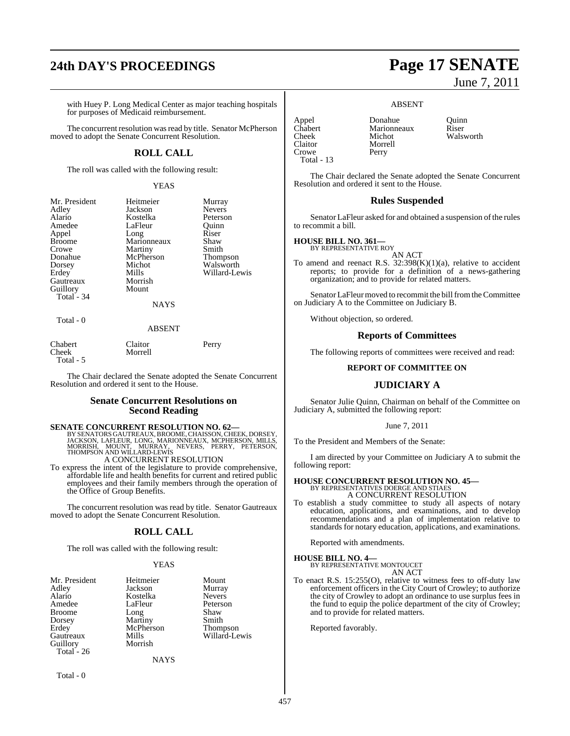## **24th DAY'S PROCEEDINGS Page 17 SENATE**

with Huey P. Long Medical Center as major teaching hospitals for purposes of Medicaid reimbursement.

The concurrent resolution was read by title. Senator McPherson moved to adopt the Senate Concurrent Resolution.

### **ROLL CALL**

The roll was called with the following result:

### YEAS

| Mr. President<br>Adley<br>Alario<br>Amedee<br>Appel<br><b>Broome</b><br>Crowe<br>Donahue<br>Dorsey<br>Erdey | Heitmeier<br>Jackson<br>Kostelka<br>LaFleur<br>Long<br>Marionneaux<br>Martiny<br>McPherson<br>Michot<br>Mills | Murray<br><b>Nevers</b><br>Peterson<br>Ouinn<br>Riser<br>Shaw<br>Smith<br><b>Thompson</b><br>Walsworth<br>Willard-Lewis |
|-------------------------------------------------------------------------------------------------------------|---------------------------------------------------------------------------------------------------------------|-------------------------------------------------------------------------------------------------------------------------|
| Gautreaux<br>Guillory<br>Total - 34                                                                         | Morrish<br>Mount<br><b>NAYS</b>                                                                               |                                                                                                                         |
| Total - 0                                                                                                   |                                                                                                               |                                                                                                                         |

### ABSENT

| Chabert    | Claitor | Perry |
|------------|---------|-------|
| Cheek      | Morrell |       |
| Total $-5$ |         |       |

The Chair declared the Senate adopted the Senate Concurrent Resolution and ordered it sent to the House.

## **Senate Concurrent Resolutions on Second Reading**

**SENATE CONCURRENT RESOLUTION NO. 62—** BY SENATORS GAUTREAUX, BROOME, CHAISSON, CHEEK, DORSEY, JACKSON, LAFLEUR, LONG, MARIONNEAUX, MCPHERSON, MILLS, MORRISH, MOUNT, MURRAY, NEVERS, PERRY, PETERSON, THOMPSON AND WILLARD-LEWIS A CONCURRENT RESOLUTION

To express the intent of the legislature to provide comprehensive,

affordable life and health benefits for current and retired public employees and their family members through the operation of the Office of Group Benefits.

The concurrent resolution was read by title. Senator Gautreaux moved to adopt the Senate Concurrent Resolution.

### **ROLL CALL**

The roll was called with the following result:

### YEAS

| Mr. President |
|---------------|
| Adley         |
| Alario        |
| Amedee        |
| <b>Broome</b> |
| Dorsey        |
| Erdey         |
| Gautreaux     |
| Guillory      |
| Total - 26    |
|               |

Heitmeier Mount<br>
Jackson Murray Jackson Murray<br>Kostelka Nevers Kostelka Nevers<br>LaFleur Peterson LaFleur Peters<br>Long Shaw Broome Long Shaw Martiny Smith<br>
McPherson Thompson McPherson<br>Mills Morrish

**NAYS** 

Willard-Lewis

Total - 0

June 7, 2011

### ABSENT

Appel Donahue Quinn<br>Chabert Marionneaux Riser Present<br>Chabert Marionneaux<br>Cheek Michot Claitor Morrell<br>Crowe Perry Crowe Total - 13

Walsworth

The Chair declared the Senate adopted the Senate Concurrent Resolution and ordered it sent to the House.

### **Rules Suspended**

Senator LaFleur asked for and obtained a suspension of the rules to recommit a bill.

## **HOUSE BILL NO. 361—** BY REPRESENTATIVE ROY

AN ACT

To amend and reenact R.S.  $32:398(K)(1)(a)$ , relative to accident reports; to provide for a definition of a news-gathering organization; and to provide for related matters.

Senator LaFleur moved to recommit the bill from the Committee on Judiciary A to the Committee on Judiciary B.

Without objection, so ordered.

### **Reports of Committees**

The following reports of committees were received and read:

### **REPORT OF COMMITTEE ON**

### **JUDICIARY A**

Senator Julie Quinn, Chairman on behalf of the Committee on Judiciary A, submitted the following report:

### June 7, 2011

To the President and Members of the Senate:

I am directed by your Committee on Judiciary A to submit the following report:

## **HOUSE CONCURRENT RESOLUTION NO. 45—** BY REPRESENTATIVES DOERGE AND STIAES

A CONCURRENT RESOLUTION

To establish a study committee to study all aspects of notary education, applications, and examinations, and to develop recommendations and a plan of implementation relative to standards for notary education, applications, and examinations.

Reported with amendments.

**HOUSE BILL NO. 4—** BY REPRESENTATIVE MONTOUCET AN ACT

To enact R.S. 15:255(O), relative to witness fees to off-duty law enforcement officers in the City Court of Crowley; to authorize the city of Crowley to adopt an ordinance to use surplus fees in the fund to equip the police department of the city of Crowley; and to provide for related matters.

Reported favorably.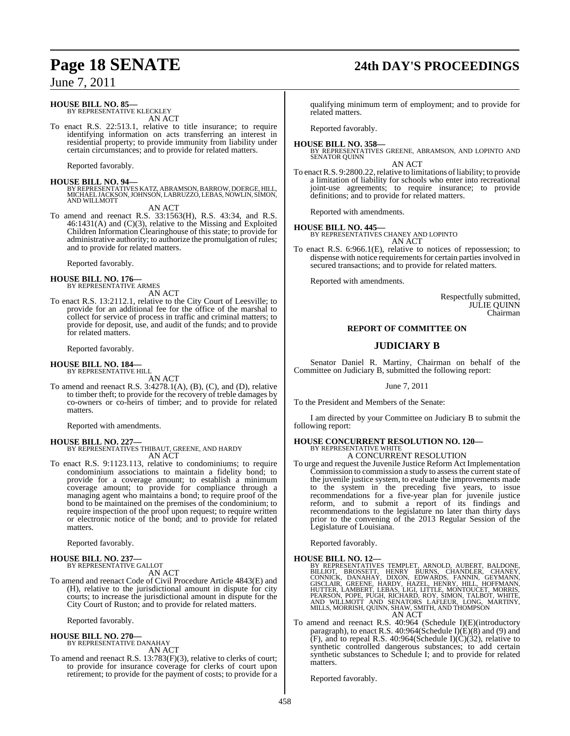## **HOUSE BILL NO. 85—**

BY REPRESENTATIVE KLECKLEY AN ACT

To enact R.S. 22:513.1, relative to title insurance; to require identifying information on acts transferring an interest in residential property; to provide immunity from liability under certain circumstances; and to provide for related matters.

Reported favorably.

**HOUSE BILL NO. 94—** BY REPRESENTATIVESKATZ, ABRAMSON,BARROW, DOERGE, HILL, MICHAELJACKSON,JOHNSON, LABRUZZO, LEBAS, NOWLIN, SIMON, AND WILLMOTT AN ACT

To amend and reenact R.S. 33:1563(H), R.S. 43:34, and R.S. 46:1431(A) and (C)(3), relative to the Missing and Exploited Children Information Clearinghouse of this state; to provide for administrative authority; to authorize the promulgation of rules; and to provide for related matters.

Reported favorably.

## **HOUSE BILL NO. 176—** BY REPRESENTATIVE ARMES

AN ACT

To enact R.S. 13:2112.1, relative to the City Court of Leesville; to provide for an additional fee for the office of the marshal to collect for service of process in traffic and criminal matters; to provide for deposit, use, and audit of the funds; and to provide for related matters.

Reported favorably.

**HOUSE BILL NO. 184—** BY REPRESENTATIVE HILL

AN ACT

To amend and reenact R.S. 3:4278.1(A), (B), (C), and (D), relative to timber theft; to provide for the recovery of treble damages by co-owners or co-heirs of timber; and to provide for related matters.

Reported with amendments.

### **HOUSE BILL NO. 227—** BY REPRESENTATIVES THIBAUT, GREENE, AND HARDY AN ACT

To enact R.S. 9:1123.113, relative to condominiums; to require condominium associations to maintain a fidelity bond; to provide for a coverage amount; to establish a minimum coverage amount; to provide for compliance through a managing agent who maintains a bond; to require proof of the bond to be maintained on the premises of the condominium; to require inspection of the proof upon request; to require written or electronic notice of the bond; and to provide for related matters.

Reported favorably.

# **HOUSE BILL NO. 237—** BY REPRESENTATIVE GALLOT

AN ACT

To amend and reenact Code of Civil Procedure Article 4843(E) and (H), relative to the jurisdictional amount in dispute for city courts; to increase the jurisdictional amount in dispute for the City Court of Ruston; and to provide for related matters.

Reported favorably.

### **HOUSE BILL NO. 270—** BY REPRESENTATIVE DANAHAY

AN ACT

To amend and reenact R.S. 13:783(F)(3), relative to clerks of court; to provide for insurance coverage for clerks of court upon retirement; to provide for the payment of costs; to provide for a

qualifying minimum term of employment; and to provide for related matters.

Reported favorably.

**HOUSE BILL NO. 358—** BY REPRESENTATIVES GREENE, ABRAMSON, AND LOPINTO AND SENATOR QUINN

AN ACT

To enact R.S. 9:2800.22, relative to limitations of liability; to provide a limitation of liability for schools who enter into recreational joint-use agreements; to require insurance; to provide definitions; and to provide for related matters.

Reported with amendments.

### **HOUSE BILL NO. 445—** BY REPRESENTATIVES CHANEY AND LOPINTO AN ACT

To enact R.S. 6:966.1(E), relative to notices of repossession; to dispense with notice requirements for certain parties involved in secured transactions; and to provide for related matters.

Reported with amendments.

Respectfully submitted, JULIE QUINN Chairman

### **REPORT OF COMMITTEE ON**

### **JUDICIARY B**

Senator Daniel R. Martiny, Chairman on behalf of the Committee on Judiciary B, submitted the following report:

June 7, 2011

To the President and Members of the Senate:

I am directed by your Committee on Judiciary B to submit the following report:

### **HOUSE CONCURRENT RESOLUTION NO. 120—** BY REPRESENTATIVE WHITE A CONCURRENT RESOLUTION

To urge and request the Juvenile Justice Reform Act Implementation  $Commission$  to commission a study to assess the current state of the juvenile justice system, to evaluate the improvements made to the system in the preceding five years, to issue recommendations for a five-year plan for juvenile justice reform, and to submit a report of its findings and recommendations to the legislature no later than thirty days prior to the convening of the 2013 Regular Session of the Legislature of Louisiana.

Reported favorably.

### **HOUSE BILL NO. 12—**

BY REPRESENTATIVES TEMPLET, ARNOLD, AUBERT, BALDONE, BILLIOT, BROSSETT, HENRY BURNS, CHANDLER, CHANEY,<br>BILLIOT, BROSSETT, HENRY BURNS, CHANDLER, CHANDY<br>CONNICK, DANAHAY, DIXON, EDWARDS, FANNIN, GEYMANN,<br>GISCLAIR, GREENE, H AN ACT

To amend and reenact R.S. 40:964 (Schedule I)(E)(introductory paragraph), to enact R.S. 40:964(Schedule I)(E)(8) and (9) and  $(F)$ , and to repeal R.S. 40:964(Schedule I) $(C)(32)$ , relative to synthetic controlled dangerous substances; to add certain synthetic substances to Schedule I; and to provide for related matters.

Reported favorably.

# **Page 18 SENATE 24th DAY'S PROCEEDINGS**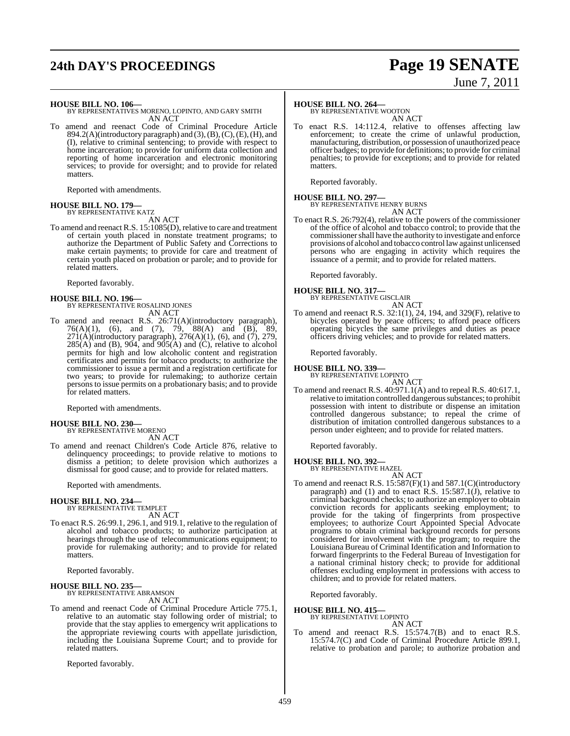# **24th DAY'S PROCEEDINGS Page 19 SENATE**

# June 7, 2011

**HOUSE BILL NO. 106—** BY REPRESENTATIVES MORENO, LOPINTO, AND GARY SMITH AN ACT

To amend and reenact Code of Criminal Procedure Article  $894.2(A)$ (introductory paragraph) and  $(3)$ ,  $(B)$ ,  $(C)$ ,  $(E)$ ,  $(H)$ , and (I), relative to criminal sentencing; to provide with respect to home incarceration; to provide for uniform data collection and reporting of home incarceration and electronic monitoring services; to provide for oversight; and to provide for related matters.

Reported with amendments.

### **HOUSE BILL NO. 179—** BY REPRESENTATIVE KATZ

AN ACT

To amend and reenact R.S. 15:1085(D), relative to care and treatment of certain youth placed in nonstate treatment programs; to authorize the Department of Public Safety and Corrections to make certain payments; to provide for care and treatment of certain youth placed on probation or parole; and to provide for related matters.

Reported favorably.

**HOUSE BILL NO. 196—** BY REPRESENTATIVE ROSALIND JONES AN ACT

To amend and reenact R.S. 26:71(A)(introductory paragraph), 76(A)(1), (6), and (7), 79, 88(A) and (B), 89, 271(A)(introductory paragraph), 276(A)(1), (6), and (7), 279,  $285(A)$  and (B),  $904$ , and  $905(A)$  and (C), relative to alcohol permits for high and low alcoholic content and registration certificates and permits for tobacco products; to authorize the commissioner to issue a permit and a registration certificate for two years; to provide for rulemaking; to authorize certain persons to issue permits on a probationary basis; and to provide for related matters.

Reported with amendments.

### **HOUSE BILL NO. 230—** BY REPRESENTATIVE MORENO

AN ACT

To amend and reenact Children's Code Article 876, relative to delinquency proceedings; to provide relative to motions to dismiss a petition; to delete provision which authorizes a dismissal for good cause; and to provide for related matters.

Reported with amendments.

### **HOUSE BILL NO. 234—**

BY REPRESENTATIVE TEMPLET AN ACT

To enact R.S. 26:99.1, 296.1, and 919.1, relative to the regulation of alcohol and tobacco products; to authorize participation at hearings through the use of telecommunications equipment; to provide for rulemaking authority; and to provide for related matters.

Reported favorably.

### **HOUSE BILL NO. 235—**

BY REPRESENTATIVE ABRAMSON AN ACT

To amend and reenact Code of Criminal Procedure Article 775.1, relative to an automatic stay following order of mistrial; to provide that the stay applies to emergency writ applications to the appropriate reviewing courts with appellate jurisdiction, including the Louisiana Supreme Court; and to provide for related matters.

Reported favorably.

### **HOUSE BILL NO. 264—**

BY REPRESENTATIVE WOOTON AN ACT

To enact R.S. 14:112.4, relative to offenses affecting law enforcement; to create the crime of unlawful production, manufacturing, distribution, or possession of unauthorized peace officer badges; to provide for definitions; to provide for criminal penalties; to provide for exceptions; and to provide for related **matters** 

Reported favorably.

### **HOUSE BILL NO. 297—** BY REPRESENTATIVE HENRY BURNS

AN ACT

To enact R.S. 26:792(4), relative to the powers of the commissioner of the office of alcohol and tobacco control; to provide that the commissionershall have the authority to investigate and enforce provisions of alcohol and tobacco control law against unlicensed persons who are engaging in activity which requires the issuance of a permit; and to provide for related matters.

Reported favorably.

**HOUSE BILL NO. 317—** BY REPRESENTATIVE GISCLAIR AN ACT

To amend and reenact R.S. 32:1(1), 24, 194, and 329(F), relative to bicycles operated by peace officers; to afford peace officers operating bicycles the same privileges and duties as peace officers driving vehicles; and to provide for related matters.

Reported favorably.

**HOUSE BILL NO. 339—**

BY REPRESENTATIVE LOPINTO AN ACT

To amend and reenact R.S. 40:971.1(A) and to repeal R.S. 40:617.1, relative to imitation controlled dangerous substances; to prohibit possession with intent to distribute or dispense an imitation controlled dangerous substance; to repeal the crime of distribution of imitation controlled dangerous substances to a person under eighteen; and to provide for related matters.

Reported favorably.

**HOUSE BILL NO. 392—** BY REPRESENTATIVE HAZEL

AN ACT

To amend and reenact R.S. 15:587(F)(1) and 587.1(C)(introductory paragraph) and (1) and to enact R.S.  $15:587.1(J)$ , relative to criminal background checks; to authorize an employer to obtain conviction records for applicants seeking employment; to provide for the taking of fingerprints from prospective employees; to authorize Court Appointed Special Advocate programs to obtain criminal background records for persons considered for involvement with the program; to require the Louisiana Bureau of Criminal Identification and Information to forward fingerprints to the Federal Bureau of Investigation for a national criminal history check; to provide for additional offenses excluding employment in professions with access to children; and to provide for related matters.

Reported favorably.

**HOUSE BILL NO. 415—**

BY REPRESENTATIVE LOPINTO AN ACT

To amend and reenact R.S. 15:574.7(B) and to enact R.S. 15:574.7(C) and Code of Criminal Procedure Article 899.1, relative to probation and parole; to authorize probation and